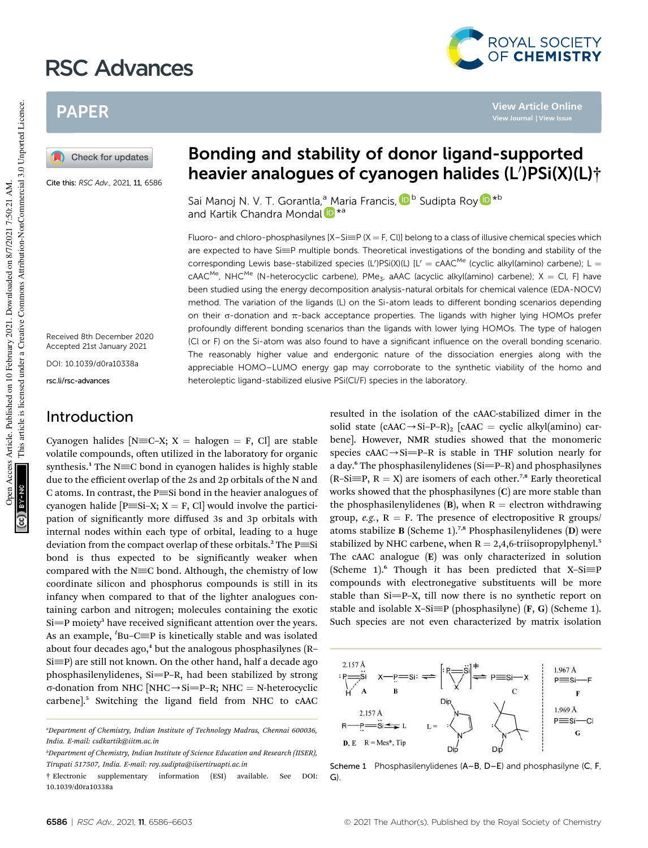# RSC Advances

# PAPER

Check for updates

Cite this: RSC Adv., 2021, 11, 6586

Received 8th December 2020 Accepted 21st January 2021 DOI: 10.1039/d0ra10338a

rsc.li/rsc-advances

#### Introduction

Cyanogen halides [N=C–X; X = halogen = F, Cl] are stable volatile compounds, often utilized in the laboratory for organic synthesis.<sup>1</sup> The N $\equiv$ C bond in cyanogen halides is highly stable due to the efficient overlap of the 2s and 2p orbitals of the N and C atoms. In contrast, the  $P \equiv$ Si bond in the heavier analogues of cyanogen halide  $[P\equiv Si-X; X = F, Cl]$  would involve the participation of significantly more diffused 3s and 3p orbitals with internal nodes within each type of orbital, leading to a huge deviation from the compact overlap of these orbitals.<sup>2</sup> The  $P \equiv$ Si bond is thus expected to be significantly weaker when compared with the  $N\equiv C$  bond. Although, the chemistry of low coordinate silicon and phosphorus compounds is still in its infancy when compared to that of the lighter analogues containing carbon and nitrogen; molecules containing the exotic Si=P moiety<sup>3</sup> have received significant attention over the years. As an example, *<sup>t</sup>* Bu–C^P is kinetically stable and was isolated about four decades ago, $4$  but the analogous phosphasilynes (R–  $Si \equiv P$ ) are still not known. On the other hand, half a decade ago phosphasilenylidenes,  $Si=$ P–R, had been stabilized by strong  $\sigma$ -donation from NHC [NHC  $\rightarrow$  Si=P–R; NHC = N-heterocyclic carbene].<sup>5</sup> Switching the ligand field from NHC to cAAC

# Bonding and stability of donor ligand-supported heavier analogues of cyanogen halides (L')PSi(X)(L)†

Sai Manoj N. V. T. Gorantla,<sup>a</sup> Maria Francis, D<sup>b</sup> Sudipta Roy D<sup>\*b</sup> and Kartik Chandra Mondal D<sup>\*a</sup>

Fluoro- and chloro-phosphasilynes  $[X - S \equiv P (X = F, C I)]$  belong to a class of illusive chemical species which are expected to have  $Si \equiv P$  multiple bonds. Theoretical investigations of the bonding and stability of the corresponding Lewis base-stabilized species (L')PSi(X)(L) [L' = cAAC<sup>Me</sup> (cyclic alkyl(amino) carbene); L =  $c$ AAC<sup>Me</sup>, NHC<sup>Me</sup> (N-heterocyclic carbene), PMe<sub>3</sub>, aAAC (acyclic alkyl(amino) carbene); X = Cl, F] have been studied using the energy decomposition analysis-natural orbitals for chemical valence (EDA-NOCV) method. The variation of the ligands (L) on the Si-atom leads to different bonding scenarios depending on their  $\sigma$ -donation and  $\pi$ -back acceptance properties. The ligands with higher lying HOMOs prefer profoundly different bonding scenarios than the ligands with lower lying HOMOs. The type of halogen (Cl or F) on the Si-atom was also found to have a significant influence on the overall bonding scenario. The reasonably higher value and endergonic nature of the dissociation energies along with the appreciable HOMO–LUMO energy gap may corroborate to the synthetic viability of the homo and heteroleptic ligand-stabilized elusive PSi(Cl/F) species in the laboratory.

> resulted in the isolation of the cAAC-stabilized dimer in the solid state  $(cAAC \rightarrow Si-P-R)$ <sub>2</sub>  $[cAAC = cyclic alkyl(amino) car$ bene]. However, NMR studies showed that the monomeric species  $cAAC \rightarrow Si=P-R$  is stable in THF solution nearly for a day.<sup>6</sup> The phosphasilenylidenes  $(Si=PA)$  and phosphasilynes  $(R-Si\equiv P, R = X)$  are isomers of each other.<sup>7,8</sup> Early theoretical works showed that the phosphasilynes (C) are more stable than the phosphasilenylidenes (B), when  $R =$  electron withdrawing group,  $e.g., R = F.$  The presence of electropositive R groups/ atoms stabilize **B** (Scheme 1).<sup>7,8</sup> Phosphasilenylidenes (D) were stabilized by NHC carbene, when  $R = 2,4,6$ -triisopropylphenyl.<sup>5</sup> The cAAC analogue (E) was only characterized in solution (Scheme 1).<sup>6</sup> Though it has been predicted that X-Si $\equiv$ P compounds with electronegative substituents will be more stable than  $Si=$ P–X, till now there is no synthetic report on stable and isolable X-Si $\equiv$ P (phosphasilyne) (F, G) (Scheme 1). Such species are not even characterized by matrix isolation



Scheme 1 Phosphasilenylidenes (A–B, D–E) and phosphasilyne (C, F, G).



**View Article Online**

*<sup>a</sup>Department of Chemistry, Indian Institute of Technology Madras, Chennai 600036, India. E-mail: csdkartik@iitm.ac.in*

*<sup>b</sup>Department of Chemistry, Indian Institute of Science Education and Research (IISER), Tirupati 517507, India. E-mail: roy.sudipta@iisertiruapti.ac.in*

<sup>†</sup> Electronic supplementary information (ESI) available. See DOI: 10.1039/d0ra10338a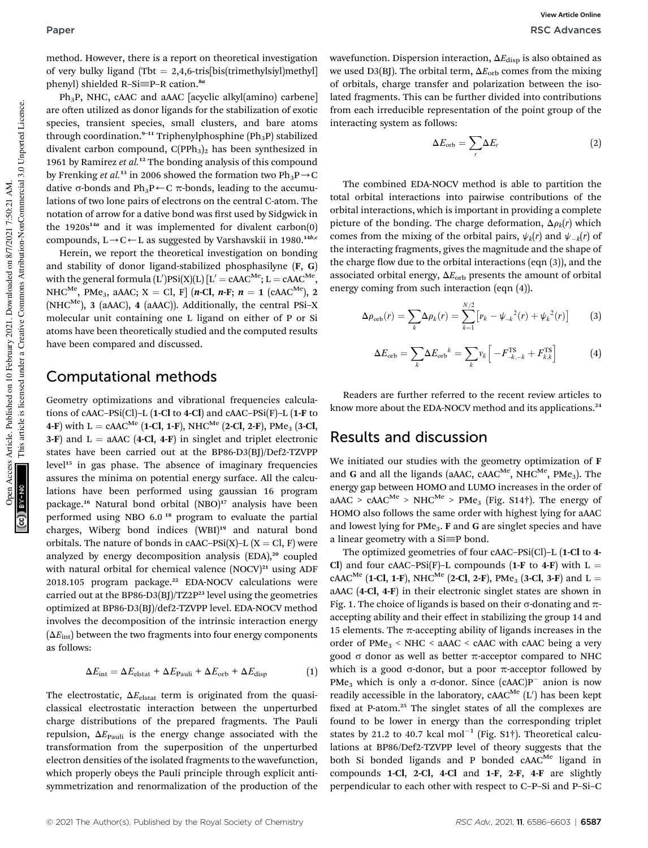method. However, there is a report on theoretical investigation of very bulky ligand (Tbt = 2,4,6-tris[bis(trimethylsiyl)methyl] phenyl) shielded R-Si≡P-R cation.<sup>8a</sup>

Ph3P, NHC, cAAC and aAAC [acyclic alkyl(amino) carbene] are often utilized as donor ligands for the stabilization of exotic species, transient species, small clusters, and bare atoms through coordination.<sup>9-11</sup> Triphenylphosphine (Ph<sub>3</sub>P) stabilized divalent carbon compound,  $C(PPh_3)$ <sub>2</sub> has been synthesized in 1961 by Ramirez *et al.*<sup>12</sup> The bonding analysis of this compound by Frenking *et al.*<sup>13</sup> in 2006 showed the formation two  $Ph_3P\rightarrow C$ dative  $\sigma$ -bonds and Ph<sub>3</sub>P $\leftarrow$ C  $\pi$ -bonds, leading to the accumulations of two lone pairs of electrons on the central C-atom. The notation of arrow for a dative bond was first used by Sidgwick in the  $1920s^{14a}$  and it was implemented for divalent carbon(0) compounds,  $L \rightarrow C \leftarrow L$  as suggested by Varshavskii in 1980.<sup>14b,c</sup>

Herein, we report the theoretical investigation on bonding and stability of donor ligand-stabilized phosphasilyne (F, G) with the general formula (L')PSi(X)(L) [L' = cAAC $^{\rm Me};$  L = cAAC $^{\rm Me},$ NHC<sup>Me</sup>, PMe<sub>3</sub>, aAAC; X = Cl, F  $[n-Cl, n-F; n = 1$  (cAAC<sup>Me</sup>), 2 (NHC<sup>Me</sup>), 3 (aAAC), 4 (aAAC)). Additionally, the central PSi–X molecular unit containing one L ligand on either of P or Si atoms have been theoretically studied and the computed results have been compared and discussed.

#### Computational methods

Geometry optimizations and vibrational frequencies calculations of cAAC–PSi(Cl)–L (1-Cl to 4-Cl) and cAAC–PSi(F)–L (1-F to 4-F) with  $L = cAAC^{Me}$  (1-Cl, 1-F), NHC<sup>Me</sup> (2-Cl, 2-F), PMe<sub>3</sub> (3-Cl, 3-F) and  $L =$  aAAC (4-Cl, 4-F) in singlet and triplet electronic states have been carried out at the BP86-D3(BJ)/Def2-TZVPP level<sup>15</sup> in gas phase. The absence of imaginary frequencies assures the minima on potential energy surface. All the calculations have been performed using gaussian 16 program package.<sup>16</sup> Natural bond orbital (NBO)<sup>17</sup> analysis have been performed using NBO 6.0 <sup>18</sup> program to evaluate the partial charges, Wiberg bond indices (WBI)<sup>19</sup> and natural bond orbitals. The nature of bonds in cAAC–PSi(X)–L (X = Cl, F) were analyzed by energy decomposition analysis  $(EDA)<sup>20</sup>$  coupled with natural orbital for chemical valence  $(NOCV)^{21}$  using ADF 2018.105 program package.<sup>22</sup> EDA-NOCV calculations were carried out at the BP86-D3(BJ)/TZ2P<sup>23</sup> level using the geometries optimized at BP86-D3(BJ)/def2-TZVPP level. EDA-NOCV method involves the decomposition of the intrinsic interaction energy  $(\Delta E_{int})$  between the two fragments into four energy components as follows:

$$
\Delta E_{\rm int} = \Delta E_{\rm elstat} + \Delta E_{\rm Pauli} + \Delta E_{\rm orb} + \Delta E_{\rm disp}
$$
 (1)

The electrostatic,  $\Delta E_{\text{elstat}}$  term is originated from the quasiclassical electrostatic interaction between the unperturbed charge distributions of the prepared fragments. The Pauli repulsion,  $\Delta E_{\text{Pauli}}$  is the energy change associated with the transformation from the superposition of the unperturbed electron densities of the isolated fragments to the wavefunction, which properly obeys the Pauli principle through explicit antisymmetrization and renormalization of the production of the

wavefunction. Dispersion interaction, ΔE<sub>disp</sub> is also obtained as we used D3(BJ). The orbital term,  $\Delta E_{\rm orb}$  comes from the mixing of orbitals, charge transfer and polarization between the isolated fragments. This can be further divided into contributions from each irreducible representation of the point group of the interacting system as follows:

$$
\Delta E_{\rm orb} = \sum_r \Delta E_r \tag{2}
$$

The combined EDA-NOCV method is able to partition the total orbital interactions into pairwise contributions of the orbital interactions, which is important in providing a complete picture of the bonding. The charge deformation,  $\Delta \rho_k(r)$  which comes from the mixing of the orbital pairs,  $\psi_k(r)$  and  $\psi_{-k}(r)$  of the interacting fragments, gives the magnitude and the shape of the charge flow due to the orbital interactions (eqn  $(3)$ ), and the associated orbital energy,  $\Delta E_{\rm orb}$  presents the amount of orbital energy coming from such interaction (eqn (4)).

$$
\Delta \rho_{\rm orb}(r) = \sum_{k} \Delta \rho_k(r) = \sum_{k=1}^{N/2} \left[ \nu_k - \psi_{-k}^2(r) + \psi_k^2(r) \right] \tag{3}
$$

$$
\Delta E_{\rm orb} = \sum_{k} \Delta E_{\rm orb}^{k} = \sum_{k} v_k \left[ -F_{-k,-k}^{\rm TS} + F_{k,k}^{\rm TS} \right]
$$
(4)

Readers are further referred to the recent review articles to know more about the EDA-NOCV method and its applications.<sup>24</sup>

#### Results and discussion

We initiated our studies with the geometry optimization of F and G and all the ligands (aAAC, cAAC<sup>Me</sup>, NHC<sup>Me</sup>, PMe<sub>3</sub>). The energy gap between HOMO and LUMO increases in the order of  $aAAC > cAAC^{Me} > NHC^{Me} > PMe$ <sub>3</sub> (Fig. S14<sup>†</sup>). The energy of HOMO also follows the same order with highest lying for aAAC and lowest lying for PMe<sub>3</sub>. F and G are singlet species and have a linear geometry with a  $Si \equiv P$  bond.

The optimized geometries of four cAAC–PSi(Cl)–L (1-Cl to 4- Cl) and four cAAC–PSi(F)–L compounds (1-F to 4-F) with L = cAAC<sup>Me</sup> (1-Cl, 1-F), NHC<sup>Me</sup> (2-Cl, 2-F), PMe<sub>3</sub> (3-Cl, 3-F) and L = aAAC (4-Cl, 4-F) in their electronic singlet states are shown in Fig. 1. The choice of ligands is based on their  $\sigma$ -donating and  $\pi$ accepting ability and their effect in stabilizing the group 14 and 15 elements. The  $\pi$ -accepting ability of ligands increases in the order of  $PMe<sub>3</sub>$  < NHC < aAAC < cAAC with cAAC being a very good  $\sigma$  donor as well as better  $\pi$ -acceptor compared to NHC which is a good  $\sigma$ -donor, but a poor  $\pi$ -acceptor followed by PMe<sub>3</sub> which is only a  $\sigma$ -donor. Since  $(cAAC)P^-$  anion is now readily accessible in the laboratory,  $c$ AAC<sup>Me</sup> (L') has been kept fixed at P-atom.<sup>25</sup> The singlet states of all the complexes are found to be lower in energy than the corresponding triplet states by 21.2 to 40.7 kcal  $mol^{-1}$  (Fig. S1†). Theoretical calculations at BP86/Def2-TZVPP level of theory suggests that the both Si bonded ligands and P bonded  $cAAC^{Me}$  ligand in compounds 1-Cl, 2-Cl, 4-Cl and 1-F, 2-F, 4-F are slightly perpendicular to each other with respect to C–P–Si and P–Si–C

This article is licensed under a Creative Commons Attribution-NonCommercial 3.0 Unported Licence.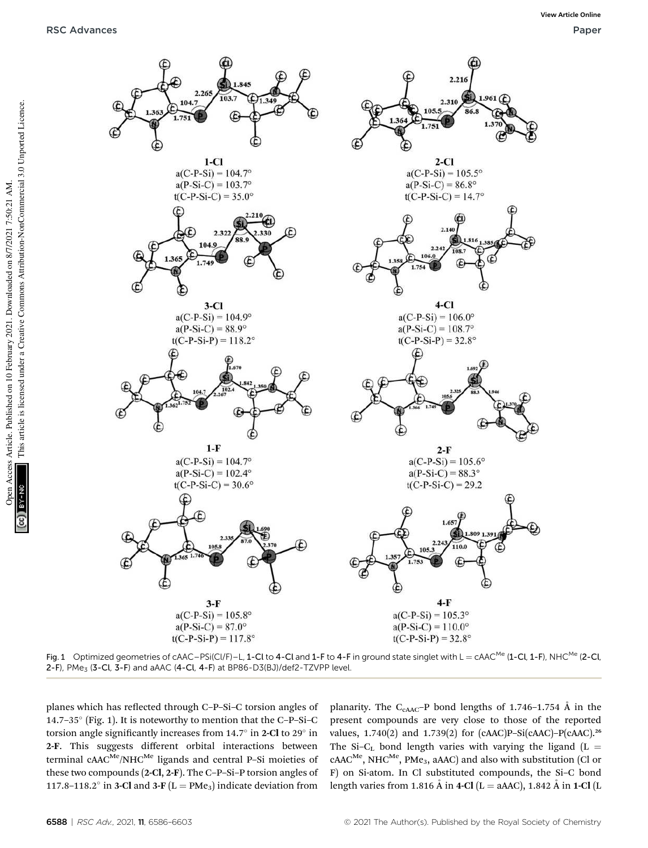

Fig. 1 Optimized geometries of cAAC–PSi(Cl/F)–L, 1-Cl to 4-Cl and 1-F to 4-F in ground state singlet with L = cAAC<sup>Me</sup> (1-Cl, 1-F), NHC<sup>Me</sup> (2-Cl, 2-F), PMe<sub>3</sub> (3-Cl, 3-F) and aAAC (4-Cl, 4-F) at BP86-D3(BJ)/def2-TZVPP level.

planes which has reflected through C-P-Si-C torsion angles of 14.7–35 (Fig. 1). It is noteworthy to mention that the C–P–Si–C torsion angle significantly increases from  $14.7^{\circ}$  in 2-Cl to 29 $^{\circ}$  in 2-F. This suggests different orbital interactions between terminal  $cAAC^{Me}/NHC^{Me}$  ligands and central P-Si moieties of these two compounds (2-Cl, 2-F). The C–P–Si–P torsion angles of 117.8–118.2 $\degree$  in 3-Cl and 3-F (L = PMe<sub>3</sub>) indicate deviation from

planarity. The  $C_{cAAC}$ -P bond lengths of 1.746-1.754 Å in the present compounds are very close to those of the reported values,  $1.740(2)$  and  $1.739(2)$  for (cAAC)P-Si(cAAC)-P(cAAC).<sup>26</sup> The Si-C<sub>L</sub> bond length varies with varying the ligand (L =  $cAAC^{Me}$ , NHC<sup>Me</sup>, PMe<sub>3</sub>, aAAC) and also with substitution (Cl or F) on Si-atom. In Cl substituted compounds, the Si–C bond length varies from 1.816  $\AA$  in 4-Cl (L = aAAC), 1.842  $\AA$  in 1-Cl (L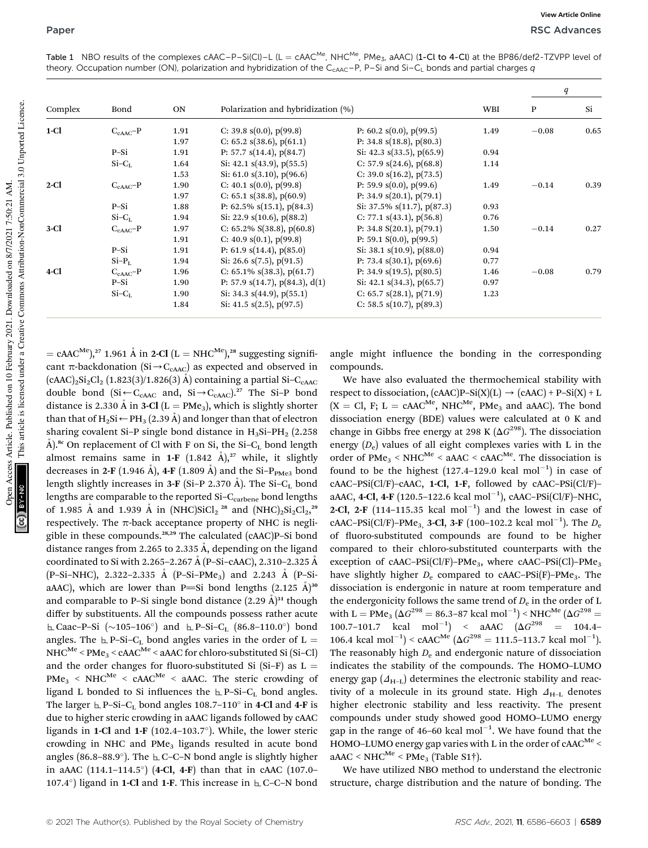|         |               |      |                                        |                                 | WBI  | q       |      |
|---------|---------------|------|----------------------------------------|---------------------------------|------|---------|------|
| Complex | Bond          | ON   | Polarization and hybridization (%)     |                                 |      | P       | Si   |
| $1-Cl$  | $C_{cAAC}$ -P | 1.91 | C: 39.8 $s(0.0)$ , $p(99.8)$           | P: 60.2 $s(0.0)$ , $p(99.5)$    | 1.49 | $-0.08$ | 0.65 |
|         |               | 1.97 | C: 65.2 $s(38.6)$ , $p(61.1)$          | P: 34.8 $s(18.8)$ , $p(80.3)$   |      |         |      |
|         | P-Si          | 1.91 | P: 57.7 $s(14.4)$ , $p(84.7)$          | Si: 42.3 $s(33.5)$ , $p(65.9)$  | 0.94 |         |      |
|         | $Si-CL$       | 1.64 | Si: 42.1 $s(43.9)$ , $p(55.5)$         | C: 57.9 $s(24.6)$ , $p(68.8)$   | 1.14 |         |      |
|         |               | 1.53 | Si: 61.0 $s(3.10)$ , $p(96.6)$         | C: 39.0 $s(16.2)$ , $p(73.5)$   |      |         |      |
| $2$ -Cl | $C_{cAAC}$ -P | 1.90 | C: 40.1 $s(0.0)$ , $p(99.8)$           | P: 59.9 $s(0.0)$ , $p(99.6)$    | 1.49 | $-0.14$ | 0.39 |
|         |               | 1.97 | C: 65.1 $s(38.8)$ , $p(60.9)$          | P: 34.9 $s(20.1)$ , $p(79.1)$   |      |         |      |
|         | P-Si          | 1.88 | P: $62.5\%$ s(15.1), p(84.3)           | Si: 37.5% $s(11.7)$ , $p(87.3)$ | 0.93 |         |      |
|         | $Si-CL$       | 1.94 | Si: 22.9 $s(10.6)$ , $p(88.2)$         | C: 77.1 $s(43.1)$ , $p(56.8)$   | 0.76 |         |      |
| $3-Cl$  | $C_{cAAC}$ -P | 1.97 | C: $65.2\%$ S(38.8), p(60.8)           | P: 34.8 $S(20.1)$ , $p(79.1)$   | 1.50 | $-0.14$ | 0.27 |
|         |               | 1.91 | C: $40.9$ s(0.1), p(99.8)              | P: 59.1 $S(0.0)$ , $p(99.5)$    |      |         |      |
|         | $P-Si$        | 1.91 | P: 61.9 $s(14.4)$ , $p(85.0)$          | Si: 38.1 $s(10.9)$ , $p(88.0)$  | 0.94 |         |      |
|         | $Si-PL$       | 1.94 | Si: 26.6 $s(7.5)$ , $p(91.5)$          | P: 73.4 $s(30.1)$ , $p(69.6)$   | 0.77 |         |      |
| 4-Cl    | $C_{cAAC}$ -P | 1.96 | C: 65.1% $s(38.3)$ , $p(61.7)$         | P: 34.9 $s(19.5)$ , $p(80.5)$   | 1.46 | $-0.08$ | 0.79 |
|         | $P-Si$        | 1.90 | P: 57.9 $s(14.7)$ , $p(84.3)$ , $d(1)$ | Si: 42.1 $s(34.3)$ , $p(65.7)$  | 0.97 |         |      |
|         | $Si-CL$       | 1.90 | Si: 34.3 $s(44.9)$ , $p(55.1)$         | C: 65.7 $s(28.1)$ , $p(71.9)$   | 1.23 |         |      |
|         |               | 1.84 | Si: 41.5 $s(2.5)$ , $p(97.5)$          | C: 58.5 $s(10.7)$ , $p(89.3)$   |      |         |      |

Table 1 NBO results of the complexes  $c$ AAC–P–Si(Cl)–L (L =  $c$ AAC<sup>Me</sup>, NHC<sup>Me</sup>, PMe<sub>3</sub>, aAAC) (1-Cl to 4-Cl) at the BP86/def2-TZVPP level of theory. Occupation number (ON), polarization and hybridization of the C<sub>CAAC</sub>–P, P–Si and Si–C<sub>L</sub> bonds and partial charges q

This article is licensed under a Creative Commons Attribution-NonCommercial 3.0 Unported Licence. This article is licensed under a Creative Commons Attribution-NonCommercial 3.0 Unported Licence. Open Access Article. Published on 10 February 2021. Downloaded on 8/7/2021 7:50:21 AM. Open Access Article. Published on 10 February 2021. Downloaded on 8/7/2021 7:50:21 AM. GCI BY-NO

 $=$  cAAC<sup>Me</sup>),<sup>27</sup> 1.961 Å in 2-Cl (L = NHC<sup>Me</sup>),<sup>28</sup> suggesting significant  $\pi$ -backdonation (Si $\rightarrow$ C<sub>cAAC</sub>) as expected and observed in  $(cAAC)_2Si_2Cl_2 (1.823(3)/1.826(3)$  Å) containing a partial Si-C<sub>CAAC</sub> double bond (Si $\leftarrow C_{\text{cAAC}}$  and, Si $\rightarrow C_{\text{cAAC}}$ ).<sup>27</sup> The Si-P bond distance is 2.330 Å in 3-Cl ( $L = PMe<sub>3</sub>$ ), which is slightly shorter than that of H<sub>2</sub>Si  $\leftarrow$  PH<sub>3</sub> (2.39 Å) and longer than that of electron sharing covalent Si–P single bond distance in  $H_3$ Si–P $H_2$  (2.258 Å).<sup>8c</sup> On replacement of Cl with F on Si, the Si-C<sub>L</sub> bond length almost remains same in 1-F  $(1.842 \text{ Å})$ ,<sup>27</sup> while, it slightly decreases in 2-F (1.946 Å), 4-F (1.809 Å) and the Si- $P_{\text{PMe3}}$  bond length slightly increases in 3-F (Si–P 2.370 Å). The Si–C<sub>L</sub> bond lengths are comparable to the reported Si-C<sub>carbene</sub> bond lengths of 1.985 Å and 1.939 Å in (NHC)SiCl<sub>2</sub><sup>28</sup> and (NHC)<sub>2</sub>Si<sub>2</sub>Cl<sub>2</sub><sup>29</sup> respectively. The  $\pi$ -back acceptance property of NHC is negligible in these compounds.28,29 The calculated (cAAC)P–Si bond distance ranges from 2.265 to 2.335  $\AA$ , depending on the ligand coordinated to Si with 2.265–2.267 Å (P-Si-cAAC), 2.310–2.325 Å  $(P-Si-NHC)$ , 2.322-2.335 Å  $(P-Si-PMe<sub>3</sub>)$  and 2.243 Å  $(P-Si-PMe<sub>4</sub>)$ aAAC), which are lower than P=Si bond lengths  $(2.125 \text{ Å})^{30}$ and comparable to P–Si single bond distance  $(2.29 \text{ Å})^{31}$  though differ by substituents. All the compounds possess rather acute  $\perp$  Caac–P–Si (~105–106°) and  $\perp$  P–Si–C<sub>L</sub> (86.8–110.0°) bond angles. The  $\perp$  P–Si–C<sub>L</sub> bond angles varies in the order of L =  $NHC^{Me} < PMe_3 < cAAC^{Me} < aAAC$  for chloro-substituted Si (Si-Cl) and the order changes for fluoro-substituted Si (Si-F) as  $L =$  $PMe<sub>3</sub>$  < NHC<sup>Me</sup> < cAAC<sup>Me</sup> < aAAC. The steric crowding of ligand L bonded to Si influences the  $E_{\text{P-Si}-C_{\text{L}}}$  bond angles. The larger  $\mathbf{L}$  P–Si–C<sub>L</sub> bond angles 108.7–110 $^{\circ}$  in 4-Cl and 4-F is due to higher steric crowding in aAAC ligands followed by cAAC ligands in 1-Cl and 1-F (102.4–103.7 ). While, the lower steric crowding in NHC and PMe<sub>3</sub> ligands resulted in acute bond angles (86.8-88.9°). The  $\pm$  C-C-N bond angle is slightly higher in aAAC (114.1–114.5 ) (4-Cl, 4-F) than that in cAAC (107.0– 107.4°) ligand in 1-Cl and 1-F. This increase in  $\pm$  C-C-N bond

angle might influence the bonding in the corresponding compounds.

We have also evaluated the thermochemical stability with respect to dissociation,  $(cAAC)P-Si(X)(L) \rightarrow (cAAC) + P-Si(X) + L$  $(X = Cl, F; L = cAAC^{Me}, NHC^{Me}, PMe<sub>3</sub>$  and aAAC). The bond dissociation energy (BDE) values were calculated at 0 K and change in Gibbs free energy at 298 K ( $\Delta G^{298}$ ). The dissociation energy (*D*<sup>e</sup> ) values of all eight complexes varies with L in the order of  $PMe<sub>3</sub>$  <  $NHC<sup>Me</sup>$  <  $aAAC$  <  $cAAC<sup>Me</sup>$ . The dissociation is found to be the highest  $(127.4-129.0 \text{ kcal mol}^{-1})$  in case of cAAC–PSi(Cl/F)–cAAC, 1-Cl, 1-F, followed by cAAC–PSi(Cl/F)– aAAC, 4-Cl, 4-F (120.5-122.6 kcal mol<sup>-1</sup>), cAAC-PSi(Cl/F)-NHC, 2-Cl, 2-F  $(114-115.35 \text{ kcal mol}^{-1})$  and the lowest in case of cAAC-PSi(Cl/F)-PMe<sub>3</sub>, 3-Cl, 3-F (100-102.2 kcal mol<sup>-1</sup>). The *D*<sub>e</sub> of fluoro-substituted compounds are found to be higher compared to their chloro-substituted counterparts with the exception of cAAC–PSi(Cl/F)–PMe<sub>3</sub>, where cAAC–PSi(Cl)–PMe<sub>3</sub> have slightly higher  $D_e$  compared to cAAC–PSi(F)–PMe<sub>3</sub>. The dissociation is endergonic in nature at room temperature and the endergonicity follows the same trend of  $D_{\rm e}$  in the order of L with L = PMe<sub>3</sub> ( $\Delta G^{298} =$  86.3–87 kcal mol<sup>-1</sup>) < NHC<sup>Me</sup> ( $\Delta G^{298} =$ 100.7-101.7 kcal mol<sup>-1</sup>) < aAAC  $(\Delta G^{298} = 104.4$ -106.4 kcal mol<sup>-1</sup>) < cAAC<sup>Me</sup> ( $\Delta G^{298} = 111.5$ -113.7 kcal mol<sup>-1</sup>). The reasonably high  $D_e$  and endergonic nature of dissociation indicates the stability of the compounds. The HOMO–LUMO energy gap  $(\Delta_{H-L})$  determines the electronic stability and reactivity of a molecule in its ground state. High  $\Delta_{H-L}$  denotes higher electronic stability and less reactivity. The present compounds under study showed good HOMO–LUMO energy gap in the range of 46-60 kcal mol<sup> $-1$ </sup>. We have found that the HOMO–LUMO energy gap varies with L in the order of  $cAAC^{Me}$  $aAAC \leq NHC^{Me} \leq PMe_3$  (Table S1†).

We have utilized NBO method to understand the electronic structure, charge distribution and the nature of bonding. The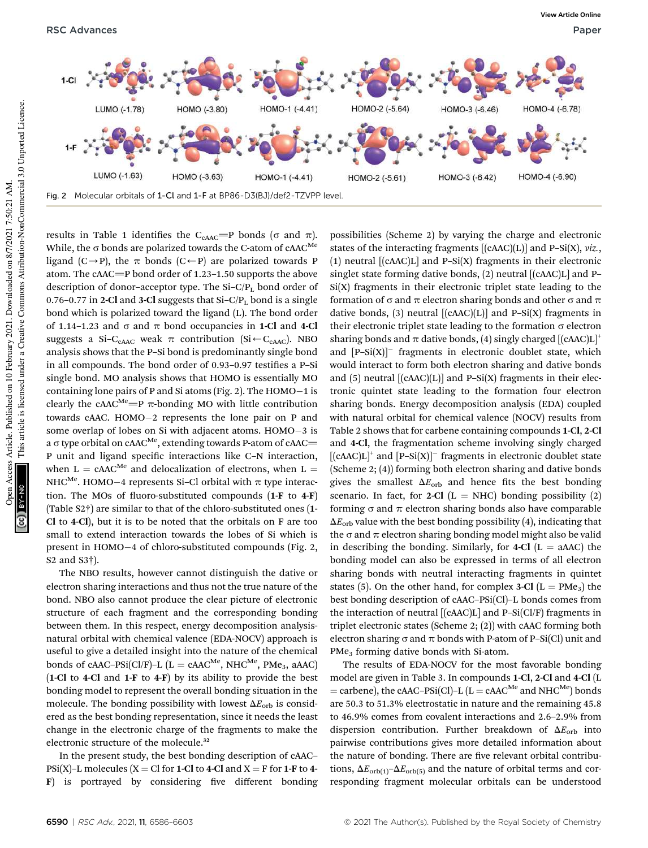RSC Advances **Paper** Paper **Paper Paper Paper Paper Paper Paper Paper Paper Paper Paper Paper Paper Paper Paper** 



results in Table 1 identifies the C<sub>CAAC</sub>=P bonds ( $\sigma$  and  $\pi$ ). While, the  $\sigma$  bonds are polarized towards the C-atom of cAAC<sup>Me</sup> ligand (C $\rightarrow$ P), the  $\pi$  bonds (C $\leftarrow$ P) are polarized towards P atom. The cAAC $=$ P bond order of 1.23–1.50 supports the above description of donor-acceptor type. The  $Si-C/P<sub>L</sub>$  bond order of 0.76-0.77 in 2-Cl and 3-Cl suggests that  $Si-C/P<sub>L</sub>$  bond is a single bond which is polarized toward the ligand (L). The bond order of 1.14–1.23 and  $\sigma$  and  $\pi$  bond occupancies in 1-Cl and 4-Cl suggests a Si-C<sub>cAAC</sub> weak  $\pi$  contribution (Si $\leftarrow$ C<sub>cAAC</sub>). NBO analysis shows that the P–Si bond is predominantly single bond in all compounds. The bond order of 0.93-0.97 testifies a P-Si single bond. MO analysis shows that HOMO is essentially MO containing lone pairs of P and Si atoms (Fig. 2). The HOMO-1 is clearly the cAAC<sup>Me</sup>=P  $\pi$ -bonding MO with little contribution towards cAAC. HOMO-2 represents the lone pair on P and some overlap of lobes on Si with adjacent atoms. HOMO-3 is a  $\sigma$  type orbital on cAAC<sup>Me</sup>, extending towards P-atom of cAAC= P unit and ligand specific interactions like C-N interaction, when L =  $cAAC^{Me}$  and delocalization of electrons, when L = NHC $^{Me}$ . HOMO–4 represents Si–Cl orbital with  $\pi$  type interaction. The MOs of fluoro-substituted compounds  $(1-F$  to  $4-F)$ (Table S2†) are similar to that of the chloro-substituted ones (1- Cl to 4-Cl), but it is to be noted that the orbitals on F are too small to extend interaction towards the lobes of Si which is present in HOMO-4 of chloro-substituted compounds (Fig. 2, S2 and S3†).

The NBO results, however cannot distinguish the dative or electron sharing interactions and thus not the true nature of the bond. NBO also cannot produce the clear picture of electronic structure of each fragment and the corresponding bonding between them. In this respect, energy decomposition analysisnatural orbital with chemical valence (EDA-NOCV) approach is useful to give a detailed insight into the nature of the chemical bonds of cAAC–PSi(Cl/F)–L ( $L =$  cAAC<sup>Me</sup>, NHC<sup>Me</sup>, PMe<sub>3</sub>, aAAC) (1-Cl to 4-Cl and 1-F to 4-F) by its ability to provide the best bonding model to represent the overall bonding situation in the molecule. The bonding possibility with lowest  $\Delta E_{\rm orb}$  is considered as the best bonding representation, since it needs the least change in the electronic charge of the fragments to make the electronic structure of the molecule.<sup>32</sup>

In the present study, the best bonding description of cAAC– PSi(X)–L molecules (X = Cl for 1-Cl to 4-Cl and X = F for 1-F to 4- $\bf{F})$  is portrayed by considering five different bonding possibilities (Scheme 2) by varying the charge and electronic states of the interacting fragments [(cAAC)(L)] and P–Si(X), *viz.*, (1) neutral [(cAAC)L] and P–Si(X) fragments in their electronic singlet state forming dative bonds, (2) neutral [(cAAC)L] and P–  $Si(X)$  fragments in their electronic triplet state leading to the formation of  $\sigma$  and  $\pi$  electron sharing bonds and other  $\sigma$  and  $\pi$ dative bonds, (3) neutral  $[(cAAC)(L)]$  and P-Si(X) fragments in their electronic triplet state leading to the formation  $\sigma$  electron sharing bonds and  $\pi$  dative bonds, (4) singly charged  $[(cAAC)L]^+$ and  $[P-Si(X)]^-$  fragments in electronic doublet state, which would interact to form both electron sharing and dative bonds and  $(5)$  neutral  $[(cAAC)(L)]$  and P–Si $(X)$  fragments in their electronic quintet state leading to the formation four electron sharing bonds. Energy decomposition analysis (EDA) coupled with natural orbital for chemical valence (NOCV) results from Table 2 shows that for carbene containing compounds 1-Cl, 2-Cl and 4-Cl, the fragmentation scheme involving singly charged  $[$ (cAAC)L]<sup>+</sup> and  $[$ P-Si(X)]<sup>-</sup> fragments in electronic doublet state (Scheme 2; (4)) forming both electron sharing and dative bonds gives the smallest  $\Delta E_{\rm orb}$  and hence fits the best bonding scenario. In fact, for 2-Cl  $(L = NHC)$  bonding possibility (2) forming  $\sigma$  and  $\pi$  electron sharing bonds also have comparable  $\Delta E_{\rm orb}$  value with the best bonding possibility (4), indicating that the  $\sigma$  and  $\pi$  electron sharing bonding model might also be valid in describing the bonding. Similarly, for 4-Cl  $(L = aAAC)$  the bonding model can also be expressed in terms of all electron sharing bonds with neutral interacting fragments in quintet states (5). On the other hand, for complex 3-Cl ( $L = PMe<sub>3</sub>$ ) the best bonding description of cAAC–PSi(Cl)–L bonds comes from the interaction of neutral  $[(cAAC)L]$  and P-Si $(CI/F)$  fragments in triplet electronic states (Scheme 2; (2)) with cAAC forming both electron sharing  $\sigma$  and  $\pi$  bonds with P-atom of P–Si(Cl) unit and PMe<sub>3</sub> forming dative bonds with Si-atom.

The results of EDA-NOCV for the most favorable bonding model are given in Table 3. In compounds 1-Cl, 2-Cl and 4-Cl (L = carbene), the cAAC–PSi(Cl)–L ( $L =$  cAAC<sup>Me</sup> and NHC<sup>Me</sup>) bonds are 50.3 to 51.3% electrostatic in nature and the remaining 45.8 to 46.9% comes from covalent interactions and 2.6–2.9% from dispersion contribution. Further breakdown of  $\Delta E_{\rm orb}$  into pairwise contributions gives more detailed information about the nature of bonding. There are five relevant orbital contributions,  $\Delta E_{\text{orb}(1)}$ – $\Delta E_{\text{orb}(5)}$  and the nature of orbital terms and corresponding fragment molecular orbitals can be understood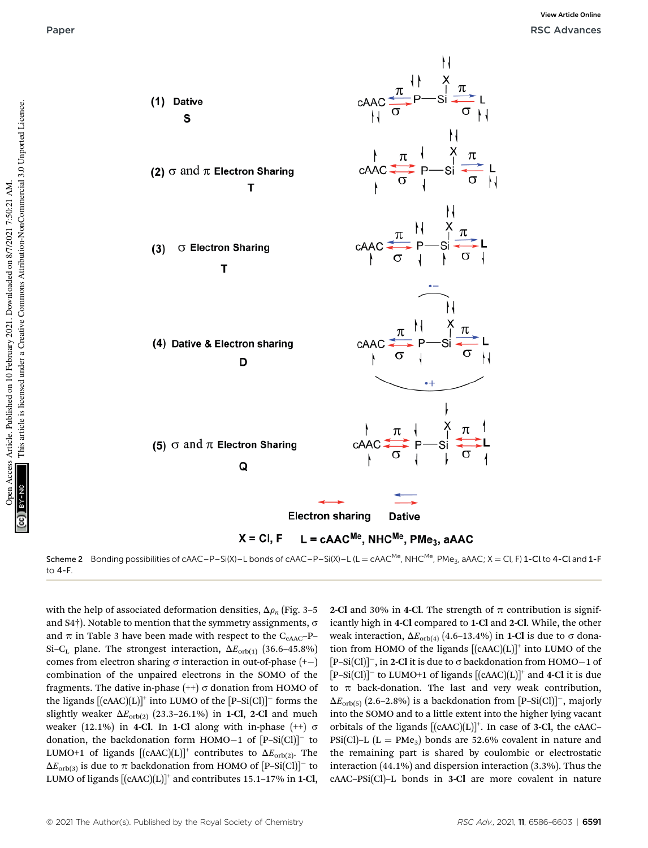

Scheme 2 Bonding possibilities of cAAC–P–Si(X)–L bonds of cAAC–P–Si(X)–L (L = cAAC<sup>Me</sup>, NHC<sup>Me</sup>, PMe<sub>3</sub>, aAAC; X = Cl, F) 1-Cl to 4-Cl and 1-F to 4-F.

with the help of associated deformation densities,  $\Delta \rho_n$  (Fig. 3–5 and  $S4\dagger$ ). Notable to mention that the symmetry assignments,  $\sigma$ and  $\pi$  in Table 3 have been made with respect to the C<sub>CAAC</sub>–P– Si-C<sub>L</sub> plane. The strongest interaction,  $\Delta E_{\text{orb(1)}}$  (36.6-45.8%) comes from electron sharing  $\sigma$  interaction in out-of-phase  $(+-)$ combination of the unpaired electrons in the SOMO of the fragments. The dative in-phase  $(++) \sigma$  donation from HOMO of the ligands  $[(cAAC)(L)]^+$  into LUMO of the  $[P-Si(C)]^-$  forms the slightly weaker  $\Delta E_{\text{orb}(2)}$  (23.3–26.1%) in **1-Cl**, **2-Cl** and much weaker (12.1%) in 4-Cl. In 1-Cl along with in-phase  $(+)$   $\sigma$ donation, the backdonation form  $HOMO-1$  of  $[P-Si(Cl)]^-$  to LUMO+1 of ligands  $[(\text{cAAC})(L)]^+$  contributes to  $\Delta E_{\text{orb}(2)}$ . The  $\Delta E_{\text{orb(3)}}$  is due to  $\pi$  backdonation from HOMO of  $\text{[P-Si(Cl)]}^-$  to LUMO of ligands  $[{\rm (cAAC)}({\rm L})]^+$  and contributes 15.1–17% in 1-Cl,

2-Cl and 30% in 4-Cl. The strength of  $\pi$  contribution is significantly high in 4-Cl compared to 1-Cl and 2-Cl. While, the other weak interaction,  $\Delta E_{\text{orb}(4)}$  (4.6–13.4%) in **1-Cl** is due to  $\sigma$  donation from HOMO of the ligands [(cAAC)(L)]<sup>+</sup> into LUMO of the  $[P-Si(Cl)]^-$ , in 2-Cl it is due to  $\sigma$  backdonation from HOMO-1 of  $[P-Si(Cl)]^-$  to LUMO+1 of ligands  $[(cAAC)(L)]^+$  and 4-Cl it is due to  $\pi$  back-donation. The last and very weak contribution,  $\Delta E_{\text{orb}(5)}$  (2.6-2.8%) is a backdonation from  $[P-Si(Cl)]^-$ , majorly into the SOMO and to a little extent into the higher lying vacant orbitals of the ligands  $[(cAAC)(L)]^+$ . In case of 3-Cl, the cAAC-PSi(Cl)–L ( $L = PMe_3$ ) bonds are 52.6% covalent in nature and the remaining part is shared by coulombic or electrostatic interaction (44.1%) and dispersion interaction (3.3%). Thus the cAAC–PSi(Cl)–L bonds in 3-Cl are more covalent in nature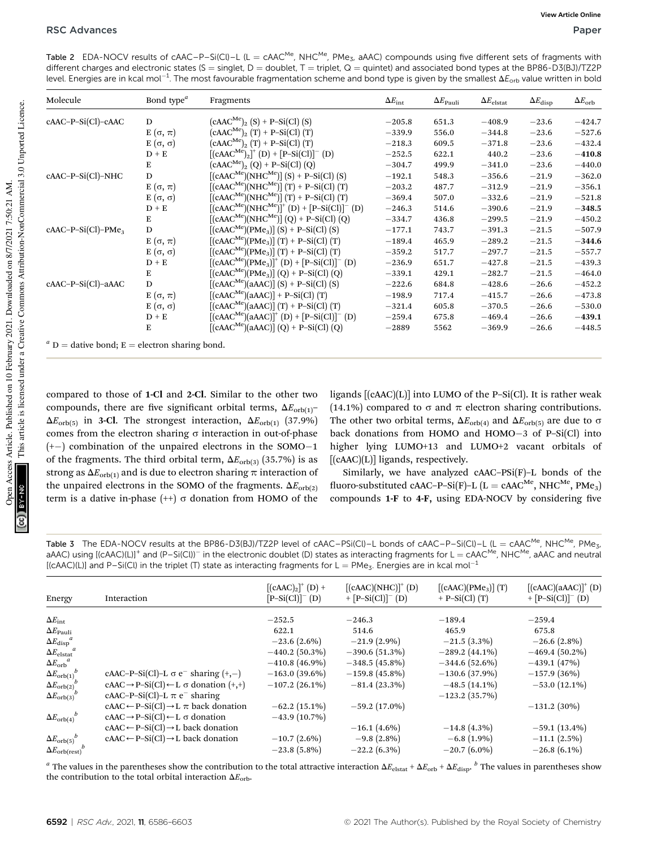Table 2 EDA-NOCV results of  $c$ AAC–P–Si(Cl)–L (L =  $c$ AAC<sup>Me</sup>, NHC<sup>Me</sup>, PMe<sub>3</sub>, aAAC) compounds using five different sets of fragments with different charges and electronic states (S = singlet, D = doublet, T = triplet, Q = quintet) and associated bond types at the BP86-D3(BJ)/TZ2P level. Energies are in kcal mol $^{-1}$ . The most favourable fragmentation scheme and bond type is given by the smallest  $\Delta E_{\rm orb}$  value written in bold

| Molecule                                         | Bond type <sup><math>a</math></sup> | Fragments                                          | $\Delta E_{\rm int}$ | $\Delta E_{\rm Pauli}$ | $\Delta E_{\rm elstat}$ | $\Delta E_{\mathrm{disp}}$ | $\Delta E_{\rm orb}$ |
|--------------------------------------------------|-------------------------------------|----------------------------------------------------|----------------------|------------------------|-------------------------|----------------------------|----------------------|
| cAAC-P-Si(Cl)-cAAC                               | D                                   | $(cAAC^{Me})_{2}$ (S) + P-Si(Cl) (S)               | $-205.8$             | 651.3                  | $-408.9$                | $-23.6$                    | $-424.7$             |
|                                                  | $E(\sigma, \pi)$                    | $(cAAC^{Me})_{2}$ (T) + P-Si(Cl) (T)               | $-339.9$             | 556.0                  | $-344.8$                | $-23.6$                    | $-527.6$             |
|                                                  | E $(σ, σ)$                          | $(cAAC^{Me})_{2}$ (T) + P-Si(Cl) (T)               | $-218.3$             | 609.5                  | $-371.8$                | $-23.6$                    | $-432.4$             |
|                                                  | $D + E$                             | $[(cAAC^{Me})_2]^+ (D) + [P-Si(Cl)]^- (D)$         | $-252.5$             | 622.1                  | 440.2                   | $-23.6$                    | $-410.8$             |
|                                                  | E                                   | $(cAAC^{Me})_{2} (Q) + P-Si(Cl) (Q)$               | $-304.7$             | 499.9                  | $-341.0$                | $-23.6$                    | $-440.0$             |
| cAAC-P-Si(Cl)-NHC                                | D                                   | $[(cAAC^{Me})(NHC^{Me})](S) + P-Si(Cl)(S)$         | $-192.1$             | 548.3                  | $-356.6$                | $-21.9$                    | $-362.0$             |
|                                                  | $E(\sigma, \pi)$                    | $[(cAAC^{Me})(NHC^{Me})](T) + P-Si(Cl)(T)$         | $-203.2$             | 487.7                  | $-312.9$                | $-21.9$                    | $-356.1$             |
|                                                  | E $(σ, σ)$                          | $[(cAAC^{Me})(NHC^{Me})](T) + P-Si(Cl)(T)$         | $-369.4$             | 507.0                  | $-332.6$                | $-21.9$                    | $-521.8$             |
|                                                  | $D + E$                             | $[(cAAC^{Me})(NHC^{Me})]^+ (D) + [P-Si(Cl)]^- (D)$ | $-246.3$             | 514.6                  | $-390.6$                | $-21.9$                    | $-348.5$             |
|                                                  | E                                   | $[(cAAC^{Me})(NHC^{Me})](Q) + P-Si(Cl)(Q)$         | $-334.7$             | 436.8                  | $-299.5$                | $-21.9$                    | $-450.2$             |
| $cAAC-P-Si(Cl)-PMe3$                             | D                                   | $[(cAAC^{Me})(PMe_3)] (S) + P-Si(Cl) (S)$          | $-177.1$             | 743.7                  | $-391.3$                | $-21.5$                    | $-507.9$             |
|                                                  | $E(\sigma, \pi)$                    | $[(cAAC^{Me})(PMe_3)] (T) + P-Si(Cl) (T)$          | $-189.4$             | 465.9                  | $-289.2$                | $-21.5$                    | $-344.6$             |
|                                                  | E $(σ, σ)$                          | $[(cAAC^{Me})(PMe_3)] (T) + P-Si(Cl) (T)$          | $-359.2$             | 517.7                  | $-297.7$                | $-21.5$                    | $-557.7$             |
|                                                  | $D + E$                             | $[(cAAC^{Me})(PMe_3)]^+(D) + [P-Si(Cl)]^-(D)$      | $-236.9$             | 651.7                  | $-427.8$                | $-21.5$                    | $-439.3$             |
|                                                  | E                                   | $[(cAAC^{Me})(PMe_3)] (Q) + P-Si(Cl) (Q)$          | $-339.1$             | 429.1                  | $-282.7$                | $-21.5$                    | $-464.0$             |
| cAAC-P-Si(Cl)-aAAC                               | D                                   | $[(cAAC^{Me})(aAAC)]$ (S) + P-Si(Cl) (S)           | $-222.6$             | 684.8                  | $-428.6$                | $-26.6$                    | $-452.2$             |
|                                                  | $E(\sigma, \pi)$                    | $[(cAAC^{Me})(aAAC)] + P-Si(Cl)(T)$                | $-198.9$             | 717.4                  | $-415.7$                | $-26.6$                    | $-473.8$             |
|                                                  | E $(σ, σ)$                          | $[(cAACMe)(aAAC)] (T) + P-Si(Cl) (T)$              | $-321.4$             | 605.8                  | $-370.5$                | $-26.6$                    | $-530.0$             |
|                                                  | $D + E$                             | $[(cAAC^{Me})(aAAC)]^{+}(D) + [P-Si(Cl)]^{-}(D)$   | $-259.4$             | 675.8                  | $-469.4$                | $-26.6$                    | $-439.1$             |
|                                                  | E                                   | $[(cAACMe)(aAAC)] (Q) + P-Si(Cl) (Q)$              | $-2889$              | 5562                   | $-369.9$                | $-26.6$                    | $-448.5$             |
| $^a$ D = dative bond; E = electron sharing bond. |                                     |                                                    |                      |                        |                         |                            |                      |

compared to those of 1-Cl and 2-Cl. Similar to the other two compounds, there are five significant orbital terms,  $\Delta E_{\text{orb}(1)}$ - $\Delta E_{\text{orb(5)}}$  in 3-Cl. The strongest interaction,  $\Delta E_{\text{orb(1)}}$  (37.9%) comes from the electron sharing  $\sigma$  interaction in out-of-phase (+-) combination of the unpaired electrons in the SOMO-1 of the fragments. The third orbital term,  $\Delta E_{\text{orb(3)}}$  (35.7%) is as strong as  $\Delta E_{\text{orb}(1)}$  and is due to electron sharing  $\pi$  interaction of the unpaired electrons in the SOMO of the fragments.  $\Delta E_{\text{orb}(2)}$ term is a dative in-phase  $(++) \sigma$  donation from HOMO of the

ligands  $[(cAAC)(L)]$  into LUMO of the P–Si(Cl). It is rather weak (14.1%) compared to  $\sigma$  and  $\pi$  electron sharing contributions. The other two orbital terms,  $\Delta E_{\text{orb}(4)}$  and  $\Delta E_{\text{orb}(5)}$  are due to  $\sigma$ back donations from HOMO and HOMO-3 of P-Si(Cl) into higher lying LUMO+13 and LUMO+2 vacant orbitals of  $[(cAAC)(L)]$  ligands, respectively.

Similarly, we have analyzed cAAC–PSi(F)–L bonds of the fluoro-substituted cAAC–P–Si(F)–L (L = cAAC<sup>Me</sup>, NHC<sup>Me</sup>, PMe<sub>3</sub>) compounds  $1-F$  to  $4-F$ , using EDA-NOCV by considering five

Table 3 The EDA-NOCV results at the BP86-D3(BJ)/TZ2P level of cAAC–PSi(Cl)–L bonds of cAAC–P–Si(Cl)–L (L = cAAC<sup>Me</sup>, NHC<sup>Me</sup>, PMe<sub>3</sub>, aAAC) using [(cAAC)(L)]<sup>+</sup> and (P–Si(Cl))<sup>–</sup> in the electronic doublet (D) states as interacting fragments for L = cAAC<sup>Me</sup>, NHC<sup>Me</sup>, aAAC and neutral  $[ (cAAC)(L) ]$  and P-Si(Cl) in the triplet (T) state as interacting fragments for L = PMe<sub>3</sub>. Energies are in kcal mol<sup>-1</sup>

| Energy                                    | Interaction                                                    | $[(cAAC)2]+ (D) +$<br>$[P-Si(Cl)]^- (D)$ | $[(cAAC)(NHC)]^+(D)$<br>+ $[P-Si(Cl)]^- (D)$ | [(cAAC)(PMe <sub>3</sub> )] (T)<br>$+$ P-Si(Cl) $(T)$ | $[(cAAC)(aAAC)]^+(D)$<br>+ $[{\rm P-Si}({\rm Cl})]^-$ (D) |
|-------------------------------------------|----------------------------------------------------------------|------------------------------------------|----------------------------------------------|-------------------------------------------------------|-----------------------------------------------------------|
|                                           |                                                                | $-252.5$                                 | $-246.3$                                     | $-189.4$                                              | $-259.4$                                                  |
| $\Delta E_{\rm int}$                      |                                                                |                                          |                                              |                                                       |                                                           |
| $\Delta E_{\rm Pauli}$                    |                                                                | 622.1                                    | 514.6                                        | 465.9                                                 | 675.8                                                     |
| $\Delta E_{\mathrm{disp}}{}^a$            |                                                                | $-23.6(2.6\%)$                           | $-21.9(2.9\%)$                               | $-21.5(3.3\%)$                                        | $-26.6(2.8\%)$                                            |
| $\Delta E_{\rm elstat}$                   |                                                                | $-440.2(50.3\%)$                         | $-390.6(51.3%)$                              | $-289.2(44.1\%)$                                      | $-469.4(50.2\%)$                                          |
| $\Delta E_{\rm orb}{}^a$                  |                                                                | $-410.8(46.9\%)$                         | $-348.5(45.8\%)$                             | $-344.6(52.6\%)$                                      | $-439.1(47%)$                                             |
| $\Delta E_{\rm orb(1)}^{\mu}$             | cAAC-P-Si(Cl)-L $\sigma$ e <sup>-</sup> sharing (+,-)          | $-163.0(39.6\%)$                         | $-159.8(45.8\%)$                             | $-130.6(37.9%)$                                       | $-157.9(36%)$                                             |
| $\Delta E_{\rm orb(2)}^{\mu}$             | $cAAC \rightarrow P-Si(Cl) \leftarrow L \sigma$ donation (+,+) | $-107.2$ (26.1%)                         | $-81.4(23.3\%)$                              | $-48.5(14.1\%)$                                       | $-53.0(12.1\%)$                                           |
| $\Delta E_{\rm orb(3)}{}^\nu$             | cAAC-P-Si(Cl)-L $\pi$ e <sup>-</sup> sharing                   |                                          |                                              | $-123.2$ (35.7%)                                      |                                                           |
|                                           | $cAAC \leftarrow P-Si(Cl) \rightarrow L \pi$ back donation     | $-62.2(15.1\%)$                          | $-59.2(17.0\%)$                              |                                                       | $-131.2(30\%)$                                            |
| $\Delta E_{\rm orb (4)}^{\qquad \  \  b}$ | $cAAC \rightarrow P-Si(Cl) \leftarrow L \sigma$ donation       | $-43.9(10.7%)$                           |                                              |                                                       |                                                           |
|                                           | $cAAC \leftarrow P-Si(Cl) \rightarrow L$ back donation         |                                          | $-16.1(4.6\%)$                               | $-14.8(4.3\%)$                                        | $-59.1(13.4\%)$                                           |
| $\Delta E_{\rm orb(5)}^{\qquad \  \  b}$  | $cAAC \leftarrow P-Si(Cl) \rightarrow L$ back donation         | $-10.7(2.6\%)$                           | $-9.8(2.8\%)$                                | $-6.8(1.9\%)$                                         | $-11.1(2.5\%)$                                            |
| $\Delta E_{\rm orb (rest)}^{\mu}$         |                                                                | $-23.8(5.8\%)$                           | $-22.2(6.3\%)$                               | $-20.7(6.0\%)$                                        | $-26.8(6.1\%)$                                            |

 $^a$  The values in the parentheses show the contribution to the total attractive interaction  $\Delta E_{\rm elstat}$  +  $\Delta E_{\rm orb}$  +  $\Delta E_{\rm disp}$ .  $^b$  The values in parentheses show the contribution to the total orbital interaction  $\Delta E_{\text{orb}}$ .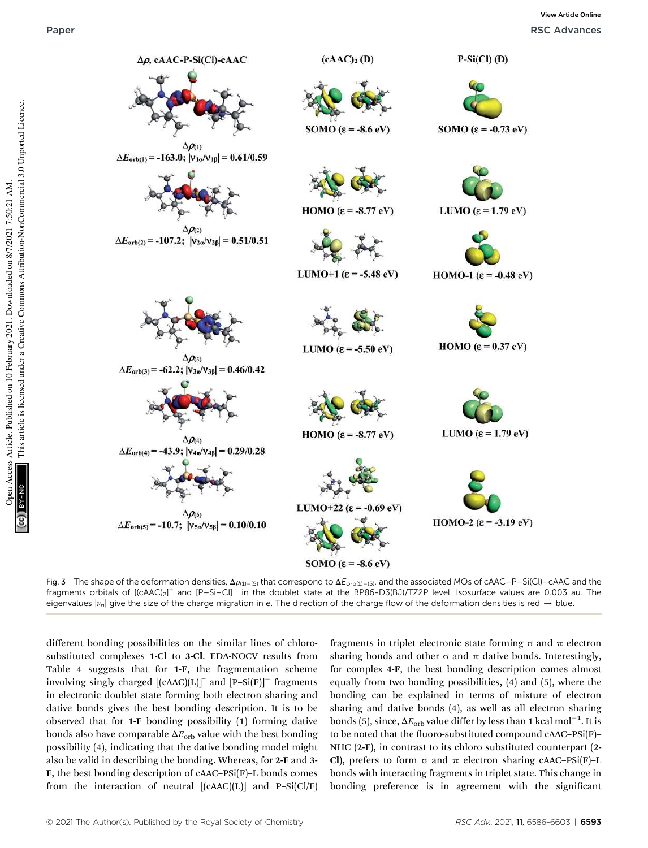

Fig. 3 The shape of the deformation densities,  $\Delta \rho_{(1)-(5)}$  that correspond to  $\Delta E_{orb(1)-(5)}$ , and the associated MOs of cAAC–P–Si(Cl)–cAAC and the fragments orbitals of  $[(\text{cAAC})_2]^+$  and  $[{\sf P-Si-Cl}^-$  in the doublet state at the  $\overline{\sf BPS6-D3(BJ)/TZ2P}$  level. Isosurface values are 0.003 au. The eigenvalues  $|v_n|$  give the size of the charge migration in e. The direction of the charge flow of the deformation densities is red  $\rightarrow$  blue.

different bonding possibilities on the similar lines of chlorosubstituted complexes 1-Cl to 3-Cl. EDA-NOCV results from Table 4 suggests that for 1-F, the fragmentation scheme involving singly charged  $[(cAAC)(L)]^+$  and  $[P-Si(F)]^-$  fragments in electronic doublet state forming both electron sharing and dative bonds gives the best bonding description. It is to be observed that for 1-F bonding possibility (1) forming dative bonds also have comparable  $\Delta E_{\rm orb}$  value with the best bonding possibility (4), indicating that the dative bonding model might also be valid in describing the bonding. Whereas, for 2-F and 3- F, the best bonding description of cAAC–PSi(F)–L bonds comes from the interaction of neutral  $[(cAAC)(L)]$  and P-Si(Cl/F)

fragments in triplet electronic state forming  $\sigma$  and  $\pi$  electron sharing bonds and other  $\sigma$  and  $\pi$  dative bonds. Interestingly, for complex 4-F, the best bonding description comes almost equally from two bonding possibilities, (4) and (5), where the bonding can be explained in terms of mixture of electron sharing and dative bonds (4), as well as all electron sharing bonds (5), since,  $\Delta E_{\rm orb}$  value differ by less than 1 kcal mol $^{-1}$ . It is to be noted that the fluoro-substituted compound  $cAAC-PSi(F)$ – NHC (2-F), in contrast to its chloro substituted counterpart (2- Cl), prefers to form  $\sigma$  and  $\pi$  electron sharing cAAC–PSi(F)–L bonds with interacting fragments in triplet state. This change in bonding preference is in agreement with the significant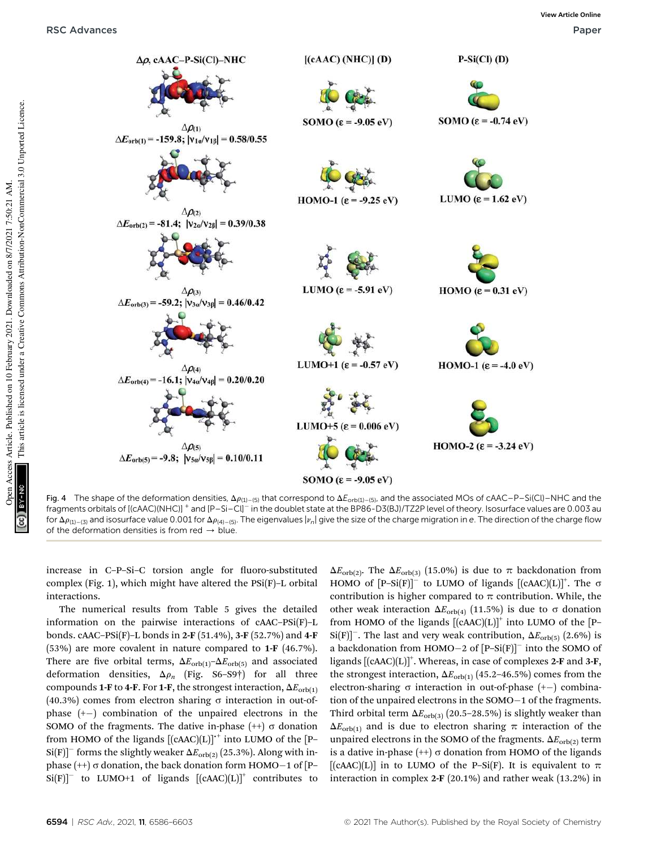

Fig. 4 The shape of the deformation densities,  $\Delta \rho_{(1)-(5)}$  that correspond to  $\Delta E_{orb(1)-(5)}$ , and the associated MOs of cAAC–P–Si(Cl)–NHC and the fragments orbitals of [(cAAC)(NHC)] <sup>+</sup> and [P–Si–Cl]<sup>–</sup> in the doublet state at the BP86-D3(BJ)/TZ2P level of theory. Isosurface values are 0.003 au for  $\Delta\rho_{(1)-(3)}$  and isosurface value 0.001 for  $\Delta\rho_{(4)-(5)}$ . The eigenvalues  $|\nu_n|$  give the size of the charge migration in e. The direction of the charge flow of the deformation densities is from red  $\rightarrow$  blue.

increase in C–P–Si–C torsion angle for fluoro-substituted complex (Fig. 1), which might have altered the PSi(F)–L orbital interactions.

The numerical results from Table 5 gives the detailed information on the pairwise interactions of cAAC–PSi(F)–L bonds. cAAC–PSi(F)–L bonds in 2-F (51.4%), 3-F (52.7%) and 4-F (53%) are more covalent in nature compared to 1-F (46.7%). There are five orbital terms,  $\Delta E_{\text{orb}(1)}$ – $\Delta E_{\text{orb}(5)}$  and associated deformation densities,  $\Delta \rho_n$  (Fig. S6–S9†) for all three compounds 1-F to 4-F. For 1-F, the strongest interaction,  $\Delta E_{\text{orb}(1)}$  $(40.3\%)$  comes from electron sharing  $\sigma$  interaction in out-ofphase (+-) combination of the unpaired electrons in the SOMO of the fragments. The dative in-phase  $(++) \sigma$  donation from HOMO of the ligands  $[(cAAC)(L)]^{+}$  into LUMO of the [P- $\text{Si(F)}$ <sup>-</sup> forms the slightly weaker  $\Delta E_{\text{orb(2)}}$  (25.3%). Along with inphase  $(++)\sigma$  donation, the back donation form HOMO-1 of [P- $Si(F)]^-$  to LUMO+1 of ligands  $[(cAAC)(L)]^+$  contributes to

 $\Delta E_{\text{orb}(2)}$ . The  $\Delta E_{\text{orb}(3)}$  (15.0%) is due to  $\pi$  backdonation from HOMO of  $[P-Si(F)]^-$  to LUMO of ligands  $[(cAAC)(L)]^+$ . The  $\sigma$ contribution is higher compared to  $\pi$  contribution. While, the other weak interaction  $\Delta E_{\text{orb}(4)}$  (11.5%) is due to  $\sigma$  donation from HOMO of the ligands  $[(cAAC)(L)]^+$  into LUMO of the [P- $\text{Si}(F)^{-}$ . The last and very weak contribution,  $\Delta E_{\text{orb}(5)}$  (2.6%) is a backdonation from  $HOMO-2$  of  $[P-Si(F)]^-$  into the SOMO of ligands [(cAAC)(L)]<sup>+</sup>. Whereas, in case of complexes 2-F and 3-F, the strongest interaction,  $\Delta E_{\text{orb(1)}}$  (45.2–46.5%) comes from the electron-sharing  $\sigma$  interaction in out-of-phase  $(+-)$  combination of the unpaired electrons in the SOMO-1 of the fragments. Third orbital term  $\Delta E_{\text{orb(3)}}$  (20.5–28.5%) is slightly weaker than  $\Delta E_{\text{orb}(1)}$  and is due to electron sharing  $\pi$  interaction of the unpaired electrons in the SOMO of the fragments.  $\Delta E_{\text{orb}(2)}$  term is a dative in-phase  $(+) \sigma$  donation from HOMO of the ligands [ $(cAAC)(L)$ ] in to LUMO of the P–Si(F). It is equivalent to  $\pi$ interaction in complex 2-F (20.1%) and rather weak (13.2%) in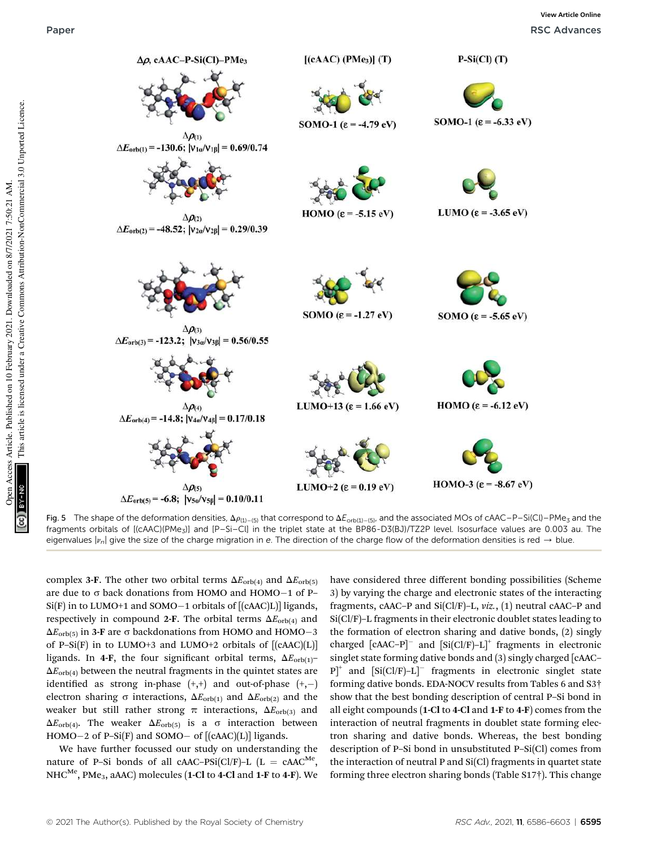

Fig. 5 The shape of the deformation densities,  $\Delta\rho_{(1)-(5)}$  that correspond to  $\Delta E_{orb(1)-(5)}$ , and the associated MOs of cAAC–P–Si(Cl)–PMe<sub>3</sub> and the fragments orbitals of [(cAAC)(PMe3)] and [P–Si–Cl] in the triplet state at the BP86-D3(BJ)/TZ2P level. Isosurface values are 0.003 au. The eigenvalues  $|v_n|$  give the size of the charge migration in e. The direction of the charge flow of the deformation densities is red  $\rightarrow$  blue.

complex 3-F. The other two orbital terms  $\Delta E_{\text{orb}(4)}$  and  $\Delta E_{\text{orb}(5)}$ are due to  $\sigma$  back donations from HOMO and HOMO $-1$  of P-Si(F) in to LUMO+1 and SOMO-1 orbitals of [(cAAC)L)] ligands, respectively in compound 2-F. The orbital terms  $\Delta E_{\text{orb}(4)}$  and  $\Delta E_{\text{orb(5)}}$  in 3-F are  $\sigma$  backdonations from HOMO and HOMO $-3$ of P–Si $(F)$  in to LUMO+3 and LUMO+2 orbitals of  $[(cAAC)(L)]$ ligands. In 4-F, the four significant orbital terms,  $\Delta E_{\text{orb(1)}}$  $\Delta E_{\text{orb}(4)}$  between the neutral fragments in the quintet states are identified as strong in-phase  $(+,+)$  and out-of-phase  $(+,-)$ electron sharing  $\sigma$  interactions,  $\Delta E_{\text{orb}(1)}$  and  $\Delta E_{\text{orb}(2)}$  and the weaker but still rather strong  $\pi$  interactions,  $\Delta E_{\text{orb(3)}}$  and  $\Delta E_{\text{orb}(4)}$ . The weaker  $\Delta E_{\text{orb}(5)}$  is a  $\sigma$  interaction between HOMO-2 of P–Si(F) and SOMO- of [(cAAC)(L)] ligands.

We have further focussed our study on understanding the nature of P-Si bonds of all cAAC-PSi(Cl/F)-L  $(L = cAAC^{Me})$ ,  $NHC^{Me}$ , PMe<sub>3</sub>, aAAC) molecules (1-Cl to 4-Cl and 1-F to 4-F). We have considered three different bonding possibilities (Scheme 3) by varying the charge and electronic states of the interacting fragments, cAAC–P and Si(Cl/F)–L, *viz.*, (1) neutral cAAC–P and Si(Cl/F)–L fragments in their electronic doublet states leading to the formation of electron sharing and dative bonds, (2) singly charged  $[CAAC-P]$ <sup>-</sup> and  $[Si(Cl/F)-L]$ <sup>+</sup> fragments in electronic singlet state forming dative bonds and (3) singly charged [cAAC– P]<sup>+</sup> and [Si(Cl/F)-L]<sup>-</sup> fragments in electronic singlet state forming dative bonds. EDA-NOCV results from Tables 6 and S3† show that the best bonding description of central P–Si bond in all eight compounds (1-Cl to 4-Cl and 1-F to 4-F) comes from the interaction of neutral fragments in doublet state forming electron sharing and dative bonds. Whereas, the best bonding description of P–Si bond in unsubstituted P–Si(Cl) comes from the interaction of neutral P and Si(Cl) fragments in quartet state forming three electron sharing bonds (Table S17†). This change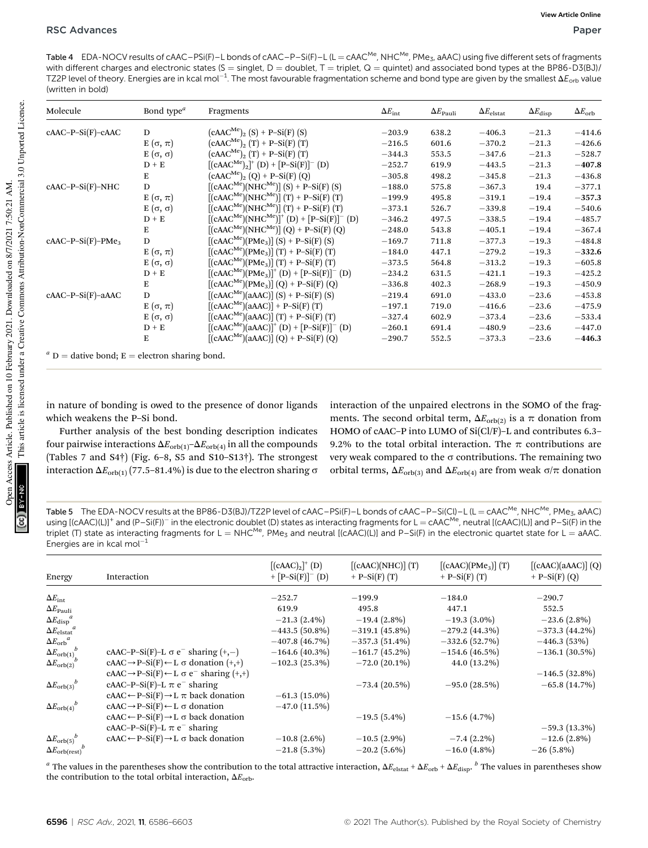Table 4 EDA-NOCV results of cAAC–PSi(F)–L bonds of cAAC–P–Si(F)–L (L = cAAC<sup>Me</sup>, NHC<sup>Me</sup>, PMe<sub>3</sub>, aAAC) using five different sets of fragments with different charges and electronic states (S = singlet, D = doublet, T = triplet, Q = quintet) and associated bond types at the BP86-D3(BJ)/ TZ2P level of theory. Energies are in kcal mol $^{-1}$ . The most favourable fragmentation scheme and bond type are given by the smallest  $\Delta E_{\rm orb}$  value (written in bold)

| Molecule            | Bond type <sup><i>a</i></sup> | Fragments                                         | $\Delta E_{\rm int}$ | $\Delta E_{\rm Pauli}$ | $\Delta E_{\rm elstat}$ | $\Delta E_{\mathrm{disp}}$ | $\Delta E_{\rm orb}$ |
|---------------------|-------------------------------|---------------------------------------------------|----------------------|------------------------|-------------------------|----------------------------|----------------------|
| $cAAC-P-Si(F)-cAAC$ | D                             | $(cAAC^{Me})_{2}$ (S) + P-Si(F) (S)               | $-203.9$             | 638.2                  | $-406.3$                | $-21.3$                    | $-414.6$             |
|                     | $E(\sigma, \pi)$              | $(cAAC^{Me})_{2}$ (T) + P-Si(F) (T)               | $-216.5$             | 601.6                  | $-370.2$                | $-21.3$                    | $-426.6$             |
|                     | E $(σ, σ)$                    | $(cAAC^{Me})_{2}$ $(T)$ + P-Si(F) $(T)$           | $-344.3$             | 553.5                  | $-347.6$                | $-21.3$                    | $-528.7$             |
|                     | $D + E$                       | $[(cAAC^{Me})_2]^+ (D) + [P-Si(F)]^- (D)$         | $-252.7$             | 619.9                  | $-443.5$                | $-21.3$                    | $-407.8$             |
|                     | E                             | $(cAAC^{Me})_{2} (Q) + P-Si(F) (Q)$               | $-305.8$             | 498.2                  | $-345.8$                | $-21.3$                    | $-436.8$             |
| $cAAC-P-Si(F)-NHC$  | ${\bf D}$                     | $[(cAAC^{Me})(NHC^{Me})](S) + P-Si(F)(S)$         | $-188.0$             | 575.8                  | $-367.3$                | 19.4                       | $-377.1$             |
|                     | E $(\sigma, \pi)$             | $[(cAAC^{Me})(NHC^{Me})](T) + P-Si(F)(T)$         | $-199.9$             | 495.8                  | $-319.1$                | $-19.4$                    | $-357.3$             |
|                     | E $(σ, σ)$                    | $[(cAAC^{Me})(NHC^{Me})](T) + P-Si(F)(T)$         | $-373.1$             | 526.7                  | $-339.8$                | $-19.4$                    | $-540.6$             |
|                     | $D + E$                       | $[(cAAC^{Me})(NHC^{Me})]^+ (D) + [P-Si(F)]^- (D)$ | $-346.2$             | 497.5                  | $-338.5$                | $-19.4$                    | $-485.7$             |
|                     | Е                             | $[(cAAC^{Me})(NHC^{Me})](Q) + P-Si(F)(Q)$         | $-248.0$             | 543.8                  | $-405.1$                | $-19.4$                    | $-367.4$             |
| $cAAC-P-Si(F)-PMe3$ | D                             | $[(cAAC^{Me})(PMe_3)] (S) + P-Si(F) (S)$          | $-169.7$             | 711.8                  | $-377.3$                | $-19.3$                    | $-484.8$             |
|                     | E $(σ, π)$                    | $[(cAAC^{Me})(PMe_3)] (T) + P-Si(F) (T)$          | $-184.0$             | 447.1                  | $-279.2$                | $-19.3$                    | $-332.6$             |
|                     | E $(σ, σ)$                    | $[(cAAC^{Me})(PMe_3)] (T) + P-Si(F) (T)$          | $-373.5$             | 564.8                  | $-313.2$                | $-19.3$                    | $-605.8$             |
|                     | $D + E$                       | $[(cAAC^{Me})(PMe_3)]^+(D) + [P-Si(F)]^-(D)$      | $-234.2$             | 631.5                  | $-421.1$                | $-19.3$                    | $-425.2$             |
|                     | E                             | $[(cAAC^{Me})(PMe_3)] (Q) + P-Si(F) (Q)$          | $-336.8$             | 402.3                  | $-268.9$                | $-19.3$                    | $-450.9$             |
| $cAAC-P-Si(F)-aAAC$ | D                             | $[(cAAC^{Me})(aAAC)]$ (S) + P-Si(F) (S)           | $-219.4$             | 691.0                  | $-433.0$                | $-23.6$                    | $-453.8$             |
|                     | $E(\sigma, \pi)$              | $[(cAAC^{Me})(aAAC)] + P-Si(F)$ (T)               | $-197.1$             | 719.0                  | $-416.6$                | $-23.6$                    | $-475.9$             |
|                     | E $(σ, σ)$                    | $[(cAAC^{Me})(aAAC)] (T) + P-Si(F) (T)$           | $-327.4$             | 602.9                  | $-373.4$                | $-23.6$                    | $-533.4$             |
|                     | $D + E$                       | $[(cAAC^{Me})(aAAC)]^{+} (D) + [P-Si(F)]^{-} (D)$ | $-260.1$             | 691.4                  | $-480.9$                | $-23.6$                    | $-447.0$             |
|                     | Е                             | $[(cAAC^{Me})(aAAC)] (Q) + P-Si(F) (Q)$           | $-290.7$             | 552.5                  | $-373.3$                | $-23.6$                    | $-446.3$             |

 $a<sup>a</sup>$  D = dative bond; E = electron sharing bond.

in nature of bonding is owed to the presence of donor ligands which weakens the P–Si bond.

Further analysis of the best bonding description indicates four pairwise interactions  $\Delta E_{\text{orb}(1)} - \Delta E_{\text{orb}(4)}$  in all the compounds (Tables 7 and S4 $\dagger$ ) (Fig. 6–8, S5 and S10–S13 $\dagger$ ). The strongest interaction  $\Delta E_{\text{orb}(1)}$  (77.5–81.4%) is due to the electron sharing  $\sigma$ 

interaction of the unpaired electrons in the SOMO of the fragments. The second orbital term,  $\Delta E_{\text{orb}(2)}$  is a  $\pi$  donation from HOMO of cAAC–P into LUMO of Si(Cl/F)–L and contributes 6.3– 9.2% to the total orbital interaction. The  $\pi$  contributions are very weak compared to the  $\sigma$  contributions. The remaining two orbital terms,  $\Delta E_{\text{orb}(3)}$  and  $\Delta E_{\text{orb}(4)}$  are from weak  $\sigma/\pi$  donation

Table 5 The EDA-NOCV results at the BP86-D3(BJ)/TZ2P level of cAAC–PSi(F)–L bonds of cAAC–P–Si(Cl)–L (L = cAAC<sup>Me</sup>, NHC<sup>Me</sup>, PMe<sub>3</sub>, aAAC) using [(cAAC)(L)]<sup>+</sup> and (P–Si(F))<sup>–</sup> in the electronic doublet (D) states as interacting fragments for L = cAAC<sup>Me</sup>, neutral [(cAAC)(L)] and P–Si(F) in the triplet (T) state as interacting fragments for  $L = NHC^{Me}$ , PMe<sub>3</sub> and neutral [(cAAC)(L)] and P–Si(F) in the electronic quartet state for  $L = aAAC$ . Energies are in kcal mol $^{-1}$ 

| Energy                                      | Interaction                                                        | $[(cAAC)2]+ (D)$<br>+ $[P-Si(F)]^- (D)$ | $[(cAAC)(NHC)]$ (T)<br>$+$ P-Si(F) (T) | [(cAAC)(PMe <sub>3</sub> )] (T)<br>$+$ P-Si(F) (T) | $[(cAAC)(aAAC)]$ (Q)<br>$+$ P-Si(F) (Q) |
|---------------------------------------------|--------------------------------------------------------------------|-----------------------------------------|----------------------------------------|----------------------------------------------------|-----------------------------------------|
| $\Delta E_{\rm int}$                        |                                                                    | $-252.7$                                | $-199.9$                               | $-184.0$                                           | $-290.7$                                |
| $\Delta E_{\rm Pauli}$                      |                                                                    | 619.9                                   | 495.8                                  | 447.1                                              | 552.5                                   |
| $\Delta E_{\mathrm{disp}}{}^a$              |                                                                    | $-21.3(2.4\%)$                          | $-19.4(2.8\%)$                         | $-19.3(3.0\%)$                                     | $-23.6(2.8\%)$                          |
| $\Delta E_{\mathrm{elstat}}^{\ \ \ \alpha}$ |                                                                    | $-443.5(50.8\%)$                        | $-319.1(45.8\%)$                       | $-279.2$ (44.3%)                                   | $-373.3(44.2\%)$                        |
| $\Delta E_{\rm orb}{}^a$                    |                                                                    | $-407.8(46.7%)$                         | $-357.3(51.4\%)$                       | $-332.6(52.7%)$                                    | $-446.3(53%)$                           |
| $\Delta E_{\rm orb(1)}^b$                   | cAAC-P-Si(F)-L $\sigma$ e <sup>-</sup> sharing (+,-)               | $-164.6(40.3\%)$                        | $-161.7(45.2\%)$                       | $-154.6(46.5%)$                                    | $-136.1(30.5\%)$                        |
| $\Delta E_{\rm orb(2)}^{\nu}$               | $cAAC \rightarrow P-Si(F) \leftarrow L \sigma$ donation $(+,+)$    | $-102.3(25.3\%)$                        | $-72.0(20.1\%)$                        | 44.0 (13.2%)                                       |                                         |
|                                             | $cAAC \rightarrow P-Si(F) \leftarrow L \sigma e^{-}$ sharing (+,+) |                                         |                                        |                                                    | $-146.5(32.8%)$                         |
| $\Delta E_{\rm orb(3)}^{\qquad \qquad b}$   | cAAC-P-Si(F)-L $\pi$ e <sup>-</sup> sharing                        |                                         | $-73.4(20.5\%)$                        | $-95.0(28.5%)$                                     | $-65.8(14.7%)$                          |
|                                             | cAAC ← P-Si(F) → L $\pi$ back donation                             | $-61.3(15.0\%)$                         |                                        |                                                    |                                         |
| $\Delta E_{\rm orb (4)}{}^b$                | $cAAC \rightarrow P-Si(F) \leftarrow L \sigma$ donation            | $-47.0(11.5%)$                          |                                        |                                                    |                                         |
|                                             | $cAAC \leftarrow P-Si(F) \rightarrow L \sigma$ back donation       |                                         | $-19.5(5.4\%)$                         | $-15.6(4.7%)$                                      |                                         |
|                                             | cAAC-P-Si(F)-L $\pi$ e <sup>-</sup> sharing                        |                                         |                                        |                                                    | $-59.3(13.3\%)$                         |
| $\Delta E_{\rm orb(5)}^{\qquad \qquad b}$   | $cAAC \leftarrow P-Si(F) \rightarrow L \sigma$ back donation       | $-10.8(2.6\%)$                          | $-10.5(2.9\%)$                         | $-7.4(2.2\%)$                                      | $-12.6(2.8\%)$                          |
| $\Delta E_{\rm orb (rest)}$                 |                                                                    | $-21.8(5.3\%)$                          | $-20.2(5.6\%)$                         | $-16.0(4.8\%)$                                     | $-26(5.8\%)$                            |

 $^a$  The values in the parentheses show the contribution to the total attractive interaction,  $\Delta E_{\rm elstat}$  +  $\Delta E_{\rm orb}$  +  $\Delta E_{\rm disp}$ .  $^b$  The values in parentheses show the contribution to the total orbital interaction,  $\Delta E_{\rm orb}$ .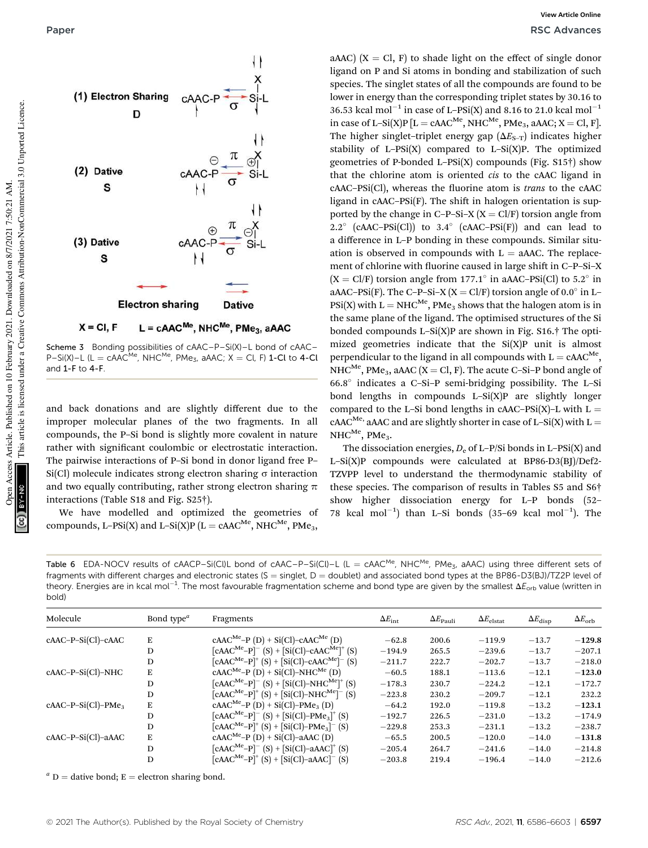

Scheme 3 Bonding possibilities of cAAC–P–Si(X)–L bond of cAAC– P-Si(X)–L (L = cAAC<sup>Me</sup>, NHC<sup>Me</sup>, PMe<sub>3</sub>, aAAC; X = Cl, F) 1-Cl to 4-Cl and 1-F to 4-F.

and back donations and are slightly different due to the improper molecular planes of the two fragments. In all compounds, the P–Si bond is slightly more covalent in nature rather with significant coulombic or electrostatic interaction. The pairwise interactions of P–Si bond in donor ligand free P–  $Si(Cl)$  molecule indicates strong electron sharing  $\sigma$  interaction and two equally contributing, rather strong electron sharing  $\pi$ interactions (Table S18 and Fig. S25†).

We have modelled and optimized the geometries of compounds, L-PSi(X) and L-Si(X)P ( $L =$  cAAC<sup>Me</sup>, NHC<sup>Me</sup>, PMe<sub>3</sub>,

aAAC)  $(X = Cl, F)$  to shade light on the effect of single donor ligand on P and Si atoms in bonding and stabilization of such species. The singlet states of all the compounds are found to be lower in energy than the corresponding triplet states by 30.16 to 36.53 kcal mol<sup>-1</sup> in case of L-PSi(X) and 8.16 to 21.0 kcal mol<sup>-1</sup> in case of L–Si(X)P  $[L = cAAC^{Me}$ , NHC<sup>Me</sup>, PMe<sub>3</sub>, aAAC; X = Cl, F]. The higher singlet–triplet energy gap  $(\Delta E_{S-T})$  indicates higher stability of L–PSi $(X)$  compared to L–Si $(X)$ P. The optimized geometries of P-bonded L–PSi(X) compounds (Fig. S15†) show that the chlorine atom is oriented *cis* to the cAAC ligand in cAAC–PSi(Cl), whereas the fluorine atom is *trans* to the cAAC ligand in  $cAAC-PSi(F)$ . The shift in halogen orientation is supported by the change in C–P–Si–X  $(X = Cl/F)$  torsion angle from  $2.2^{\circ}$  (cAAC-PSi(Cl)) to  $3.4^{\circ}$  (cAAC-PSi(F)) and can lead to a difference in L–P bonding in these compounds. Similar situation is observed in compounds with  $L = aAAC$ . The replacement of chlorine with fluorine caused in large shift in C-P-Si-X  $(X = \text{Cl/F})$  torsion angle from 177.1° in aAAC-PSi(Cl) to 5.2° in aAAC–PSi(F). The C–P–Si–X (X = Cl/F) torsion angle of 0.0° in L–  $PSi(X)$  with  $L = NHC^{Me}$ , PMe<sub>3</sub> shows that the halogen atom is in the same plane of the ligand. The optimised structures of the Si bonded compounds L–Si $(X)$ P are shown in Fig. S16.† The optimized geometries indicate that the Si(X)P unit is almost perpendicular to the ligand in all compounds with  $L = cAAC^{Me}$ , NHC<sup>Me</sup>, PMe<sub>3</sub>, aAAC (X = Cl, F). The acute C–Si–P bond angle of 66.8 indicates a C–Si–P semi-bridging possibility. The L–Si bond lengths in compounds  $L-Si(X)P$  are slightly longer compared to the L–Si bond lengths in cAAC–PSi(X)–L with  $L =$ cAAC<sup>Me,</sup> aAAC and are slightly shorter in case of L-Si(X) with L =  $NHC^{Me}$ , PMe<sub>3</sub>.

The dissociation energies,  $D_e$  of L–P/Si bonds in L–PSi(X) and L–Si(X)P compounds were calculated at BP86-D3(BJ)/Def2- TZVPP level to understand the thermodynamic stability of these species. The comparison of results in Tables S5 and S6† show higher dissociation energy for L–P bonds (52– 78 kcal mol<sup>-1</sup>) than L-Si bonds (35-69 kcal mol<sup>-1</sup>). The

Table 6 EDA-NOCV results of cAACP–Si(CI)L bond of cAAC–P–Si(CI)–L (L = cAAC<sup>Me</sup>, NHC<sup>Me</sup>, PMe<sub>3</sub>, aAAC) using three different sets of fragments with different charges and electronic states (S = singlet, D = doublet) and associated bond types at the BP86-D3(BJ)/TZ2P level of theory. Energies are in kcal mol $^{-1}$ . The most favourable fragmentation scheme and bond type are given by the smallest  $\Delta E_{\rm orb}$  value (written in bold)

| Molecule             | Bond type <sup><math>a</math></sup> | Fragments                                                                                            | $\Delta E_{\rm int}$ | $\Delta E_{\rm Pauli}$ | $\Delta E_{\rm elstat}$ | $\Delta E_{\rm disp}$ | $\Delta E_{\rm orb}$ |
|----------------------|-------------------------------------|------------------------------------------------------------------------------------------------------|----------------------|------------------------|-------------------------|-----------------------|----------------------|
| $cAAC-P-Si(Cl)-cAAC$ | E                                   | $cAAC^{Me}-P(D) + Si(Cl)-cAAC^{Me}(D)$                                                               | $-62.8$              | 200.6                  | $-119.9$                | $-13.7$               | $-129.8$             |
|                      | D                                   | $[{\rm cAAC}^{\rm Me}-{\rm P}]^-$ (S) + $[{\rm Si}({\rm Cl})$ -cAAC <sup>Me</sup> ] <sup>+</sup> (S) | $-194.9$             | 265.5                  | $-239.6$                | $-13.7$               | $-207.1$             |
|                      |                                     |                                                                                                      |                      |                        |                         |                       |                      |
|                      | D                                   | $[cAAC^{Me}-P]^{+}(S) + [Si(Cl)-cAAC^{Me}]^{-}(S)$                                                   | $-211.7$             | 222.7                  | $-202.7$                | $-13.7$               | $-218.0$             |
| cAAC-P-Si(Cl)-NHC    | E                                   | $cAAC^{Me}-P(D) + Si(Cl)-NHC^{Me}(D)$                                                                | $-60.5$              | 188.1                  | $-113.6$                | $-12.1$               | $-123.0$             |
|                      | D                                   | $[cAAC^{Me}-P]^-$ (S) + [Si(Cl)-NHC <sup>Me</sup> ] <sup>+</sup> (S)                                 | $-178.3$             | 230.7                  | $-224.2$                | $-12.1$               | $-172.7$             |
|                      | D                                   | $[{\rm cAAC}^{\rm Me}-{\rm P}]^+$ (S) + [Si(Cl)-NHC <sup>Me</sup> ] <sup>-</sup> (S)                 | $-223.8$             | 230.2                  | $-209.7$                | $-12.1$               | 232.2                |
| $cAAC-P-Si(Cl)-PMe3$ | E                                   | $cAAC^{Me}-P(D) + Si(Cl)-PMe3(D)$                                                                    | $-64.2$              | 192.0                  | $-119.8$                | $-13.2$               | $-123.1$             |
|                      | D                                   | $[cAAC^{Me}-P]^-$ (S) + [Si(Cl)-PMe <sub>3</sub> ] <sup>+</sup> (S)                                  | $-192.7$             | 226.5                  | $-231.0$                | $-13.2$               | $-174.9$             |
|                      | D                                   | $[cAAC^{Me}-P]^{+}$ (S) + [Si(Cl)-PMe <sub>3</sub> ] <sup>-</sup> (S)                                | $-229.8$             | 253.3                  | $-231.1$                | $-13.2$               | $-238.7$             |
| $cAAC-P-Si(Cl)-aAAC$ | E                                   | $cAAC^{Me}-P(D) + Si(Cl)-aAAC(D)$                                                                    | $-65.5$              | 200.5                  | $-120.0$                | $-14.0$               | $-131.8$             |
|                      | D                                   | $[cAAC^{Me}-P]$ <sup>-</sup> (S) + [Si(Cl)-aAAC] <sup>+</sup> (S)                                    | $-205.4$             | 264.7                  | $-241.6$                | $-14.0$               | $-214.8$             |
|                      | D                                   | [ $cAAC^{Me}-P$ ] <sup>+</sup> (S) + [Si(Cl)-aAAC] <sup>-</sup> (S)                                  | $-203.8$             | 219.4                  | $-196.4$                | $-14.0$               | $-212.6$             |

 $a<sup>a</sup>$  D = dative bond; E = electron sharing bond.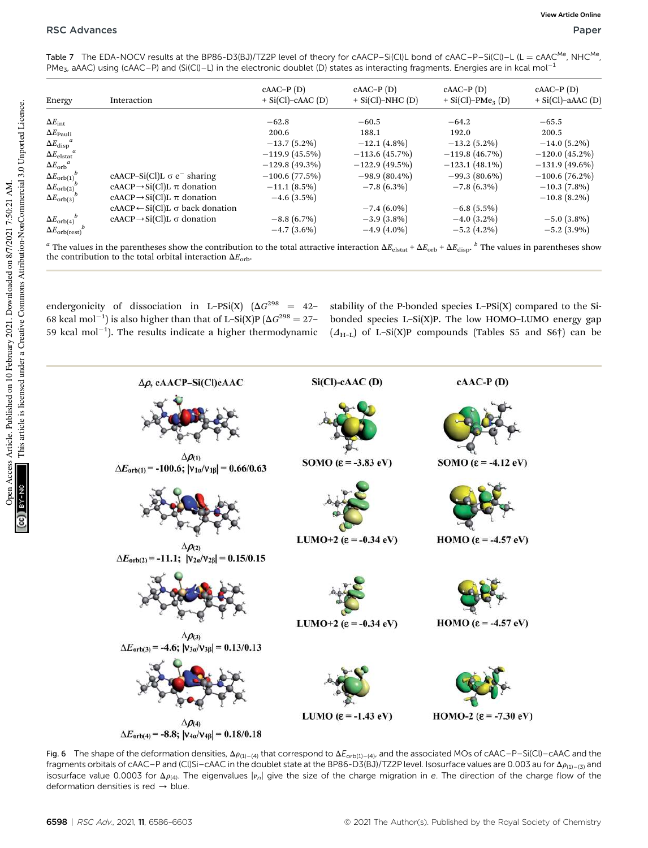<code>Table 7 The EDA-NOCV</code> results at the BP86-D3(BJ)/TZ2P level of theory for cAACP–Si(Cl)L bond of cAAC–P–Si(Cl)–L (L = cAAC<sup>Me</sup>, NHC<sup>Me</sup>, PMe<sub>3</sub>, aAAC) using (cAAC–P) and (Si(Cl)–L) in the electronic doublet (D) states as interacting fragments. Energies are in kcal mol<sup>-1</sup>

| Energy                         | Interaction                                     | $cAAC-P(D)$<br>$+ Si(Cl)-cAAC(D)$ | $cAAC-P(D)$<br>$+ Si(Cl)-NHC(D)$ | $cAAC-P(D)$<br>$+ Si(Cl)-PMe3(D)$ | $cAAC-P(D)$<br>$+$ Si(Cl)-aAAC (D) |
|--------------------------------|-------------------------------------------------|-----------------------------------|----------------------------------|-----------------------------------|------------------------------------|
| $\Delta E_{\rm int}$           |                                                 | $-62.8$                           | $-60.5$                          | $-64.2$                           | $-65.5$                            |
| $\Delta E_{\rm Pauli}$         |                                                 | 200.6                             | 188.1                            | 192.0                             | 200.5                              |
| $\Delta E_{\mathrm{disp}}{}^a$ |                                                 | $-13.7(5.2\%)$                    | $-12.1(4.8\%)$                   | $-13.2(5.2\%)$                    | $-14.0(5.2\%)$                     |
| $\Delta E_{\rm elstat}^{a}$    |                                                 | $-119.9(45.5%)$                   | $-113.6(45.7%)$                  | $-119.8(46.7%)$                   | $-120.0(45.2\%)$                   |
| $\Delta E_{\rm orb}{}^a$       |                                                 | $-129.8(49.3\%)$                  | $-122.9(49.5\%)$                 | $-123.1(48.1\%)$                  | $-131.9(49.6\%)$                   |
| $\Delta E_{\rm orb(1)}^b$      | cAACP-Si(Cl)L $\sigma$ e <sup>-</sup> sharing   | $-100.6(77.5%)$                   | $-98.9(80.4\%)$                  | $-99.3(80.6\%)$                   | $-100.6(76.2\%)$                   |
| $\Delta E_{\rm orb(2)}$        | $cAACP \rightarrow Si(Cl)L \pi$ donation        | $-11.1(8.5\%)$                    | $-7.8(6.3\%)$                    | $-7.8(6.3\%)$                     | $-10.3(7.8\%)$                     |
| $\Delta E_{\rm orb(3)}^{\nu}$  | $cAACP \rightarrow Si(Cl)L \pi$ donation        | $-4.6$ (3.5%)                     |                                  |                                   | $-10.8(8.2\%)$                     |
|                                | $cAACP \leftarrow Si(Cl)L \sigma$ back donation |                                   | $-7.4(6.0\%)$                    | $-6.8(5.5\%)$                     |                                    |
| $\Delta E_{\rm orb (4)}^b$     | $cAACP \rightarrow Si(Cl)L \sigma$ donation     | $-8.8(6.7\%)$                     | $-3.9(3.8\%)$                    | $-4.0(3.2\%)$                     | $-5.0(3.8\%)$                      |
| $\Delta E_{\rm orb (rest)}$    |                                                 | $-4.7(3.6\%)$                     | $-4.9(4.0\%)$                    | $-5.2$ (4.2%)                     | $-5.2$ (3.9%)                      |

 $^a$  The values in the parentheses show the contribution to the total attractive interaction  $\Delta E_{\rm elstat} + \Delta E_{\rm orb} + \Delta E_{\rm disp}$ .  $^b$  The values in parentheses show the contribution to the total orbital interaction  $\Delta E_{\rm orb}$ .

endergonicity of dissociation in L-PSi(X)  $(\Delta G^{298} = 42-$ 68 kcal mol<sup>-1</sup>) is also higher than that of L-Si(X)P ( $\Delta G^{298} = 27$ -59 kcal mol $^{-1}$ ). The results indicate a higher thermodynamic

stability of the P-bonded species L–PSi(X) compared to the Sibonded species L–Si(X)P. The low HOMO–LUMO energy gap  $(\Delta_{H-L})$  of L–Si(X)P compounds (Tables S5 and S6†) can be



Fig. 6 The shape of the deformation densities,  $\Delta \rho_{(1)-(4)}$  that correspond to  $\Delta E_{\text{orb(1)-(4)}}$ , and the associated MOs of cAAC–P–Si(Cl)–cAAC and the fragments orbitals of cAAC–P and (Cl)Si–cAAC in the doublet state at the BP86-D3(BJ)/TZ2P level. Isosurface values are 0.003 au for  $\Delta p_{(1)-(3)}$  and isosurface value 0.0003 for  $\Delta p_{(4)}$ . The eigenvalues  $|v_n|$  give the size of the charge migration in e. The direction of the charge flow of the deformation densities is red  $\rightarrow$  blue.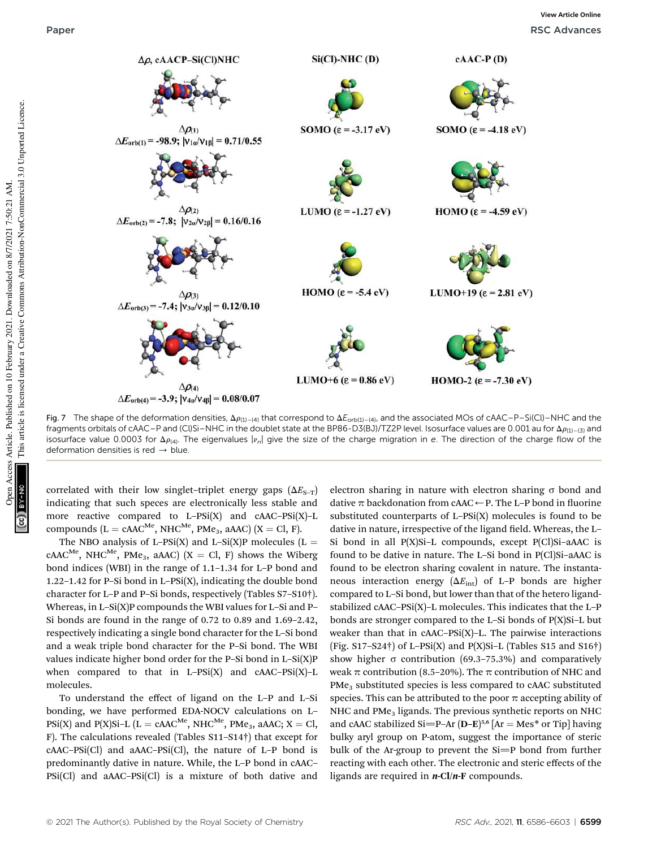

Fig. 7 The shape of the deformation densities,  $\Delta\rho_{(1)-(4)}$  that correspond to  $\Delta E_{orb(1)-(4)}$ , and the associated MOs of cAAC–P–Si(Cl)–NHC and the fragments orbitals of cAAC–P and (Cl)Si–NHC in the doublet state at the BP86-D3(BJ)/TZ2P level. Isosurface values are 0.001 au for  $\Delta p_{(1)-(3)}$  and isosurface value 0.0003 for  $\Delta p_{(4)}$ . The eigenvalues  $|v_n|$  give the size of the charge migration in e. The direction of the charge flow of the deformation densities is red  $\rightarrow$  blue.

correlated with their low singlet–triplet energy gaps  $(\Delta E_{S-T})$ indicating that such speces are electronically less stable and more reactive compared to L–PSi(X) and cAAC–PSi(X)–L compounds ( $L = cAAC^{Me}$ , NHC<sup>Me</sup>, PMe<sub>3</sub>, aAAC) ( $X = CI$ , F).

The NBO analysis of L-PSi(X) and L-Si(X)P molecules (L =  $cAAC^{Me}$ , NHC<sup>Me</sup>, PMe<sub>3</sub>, aAAC) (X = Cl, F) shows the Wiberg bond indices (WBI) in the range of 1.1–1.34 for L–P bond and 1.22–1.42 for P–Si bond in L–PSi(X), indicating the double bond character for L–P and P–Si bonds, respectively (Tables S7–S10†). Whereas, in  $L-Si(X)P$  compounds the WBI values for  $L-Si$  and  $P-\frac{1}{2}$ Si bonds are found in the range of 0.72 to 0.89 and 1.69–2.42, respectively indicating a single bond character for the L–Si bond and a weak triple bond character for the P–Si bond. The WBI values indicate higher bond order for the P–Si bond in L–Si(X)P when compared to that in  $L-PSi(X)$  and  $cAAC-PSi(X)-L$ molecules.

To understand the effect of ligand on the L–P and L–Si bonding, we have performed EDA-NOCV calculations on L– PSi(X) and P(X)Si-L (L = cAAC<sup>Me</sup>, NHC<sup>Me</sup>, PMe<sub>3</sub>, aAAC; X = Cl, F). The calculations revealed (Tables S11–S14†) that except for  $c$ AAC–PSi(Cl) and aAAC–PSi(Cl), the nature of L–P bond is predominantly dative in nature. While, the L–P bond in cAAC– PSi(Cl) and aAAC–PSi(Cl) is a mixture of both dative and

electron sharing in nature with electron sharing  $\sigma$  bond and dative  $\pi$  backdonation from cAAC $\leftarrow$  P. The L–P bond in fluorine substituted counterparts of  $L-PSi(X)$  molecules is found to be dative in nature, irrespective of the ligand field. Whereas, the L-Si bond in all  $P(X)$ Si-L compounds, except  $P(CI)$ Si-aAAC is found to be dative in nature. The L-Si bond in P(Cl)Si-aAAC is found to be electron sharing covalent in nature. The instantaneous interaction energy  $(\Delta E_{int})$  of L–P bonds are higher compared to L–Si bond, but lower than that of the hetero ligandstabilized cAAC–PSi(X)–L molecules. This indicates that the L–P bonds are stronger compared to the L–Si bonds of P(X)Si–L but weaker than that in cAAC–PSi(X)–L. The pairwise interactions (Fig.  $S17-S24\dagger$ ) of L-PSi(X) and P(X)Si-L (Tables S15 and S16 $\dagger$ ) show higher  $\sigma$  contribution (69.3–75.3%) and comparatively weak  $\pi$  contribution (8.5–20%). The  $\pi$  contribution of NHC and PMe<sub>3</sub> substituted species is less compared to cAAC substituted species. This can be attributed to the poor  $\pi$  accepting ability of NHC and PMe<sub>3</sub> ligands. The previous synthetic reports on NHC and cAAC stabilized Si=P-Ar  $(D-E)$ <sup>5,6</sup> [Ar = Mes\* or Tip] having bulky aryl group on P-atom, suggest the importance of steric bulk of the Ar-group to prevent the  $Si=P$  bond from further reacting with each other. The electronic and steric effects of the ligands are required in  $n\text{-}Cl/n\text{-}F$  compounds.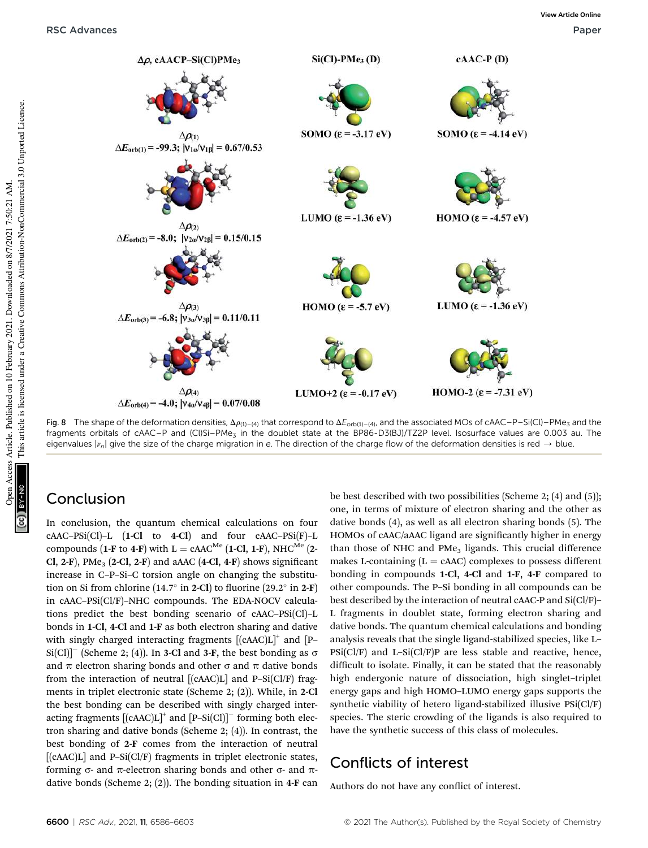

Fig. 8 The shape of the deformation densities,  $\Delta \rho_{(1)-(4)}$  that correspond to  $\Delta E_{\text{orb}(1)-(4)}$ , and the associated MOs of cAAC–P–Si(Cl)–PMe<sub>3</sub> and the fragments orbitals of cAAC–P and (Cl)Si–PMe<sub>3</sub> in the doublet state at the BP86-D3(BJ)/TZ2P level. Isosurface values are 0.003 au. The eigenvalues  $|v_n|$  give the size of the charge migration in e. The direction of the charge flow of the deformation densities is red  $\rightarrow$  blue.

### Conclusion

In conclusion, the quantum chemical calculations on four cAAC–PSi(Cl)–L (1-Cl to 4-Cl) and four cAAC–PSi(F)–L compounds (1-F to 4-F) with L = cAAC<sup>Me</sup> (1-Cl, 1-F), NHC<sup>Me</sup> (2-Cl, 2-F), PMe<sub>3</sub> (2-Cl, 2-F) and aAAC (4-Cl, 4-F) shows significant increase in C–P–Si–C torsion angle on changing the substitution on Si from chlorine (14.7 $\degree$  in 2-Cl) to fluorine (29.2 $\degree$  in 2-F) in cAAC–PSi(Cl/F)–NHC compounds. The EDA-NOCV calculations predict the best bonding scenario of cAAC–PSi(Cl)–L bonds in 1-Cl, 4-Cl and 1-F as both electron sharing and dative with singly charged interacting fragments  $[(cAAC)L]^+$  and  $[P Si(Cl)]^-$  (Scheme 2; (4)). In 3-Cl and 3-F, the best bonding as  $\sigma$ and  $\pi$  electron sharing bonds and other  $\sigma$  and  $\pi$  dative bonds from the interaction of neutral  $[(cAAC)L]$  and P-Si $(CI/F)$  fragments in triplet electronic state (Scheme 2; (2)). While, in 2-Cl the best bonding can be described with singly charged interacting fragments  $[(cAAC)L]^+$  and  $[P-Si(Cl)]^-$  forming both electron sharing and dative bonds (Scheme 2; (4)). In contrast, the best bonding of 2-F comes from the interaction of neutral  $[(cAAC)L]$  and P–Si $(CI/F)$  fragments in triplet electronic states, forming  $\sigma$ - and  $\pi$ -electron sharing bonds and other  $\sigma$ - and  $\pi$ dative bonds (Scheme 2; (2)). The bonding situation in 4-F can

be best described with two possibilities (Scheme 2; (4) and (5)); one, in terms of mixture of electron sharing and the other as dative bonds (4), as well as all electron sharing bonds (5). The HOMOs of cAAC/aAAC ligand are significantly higher in energy than those of NHC and  $PMe<sub>3</sub>$  ligands. This crucial difference makes L-containing  $(L = cAAC)$  complexes to possess different bonding in compounds 1-Cl, 4-Cl and 1-F, 4-F compared to other compounds. The P–Si bonding in all compounds can be best described by the interaction of neutral cAAC-P and Si(Cl/F)– L fragments in doublet state, forming electron sharing and dative bonds. The quantum chemical calculations and bonding analysis reveals that the single ligand-stabilized species, like L–  $\text{psi}(\text{Cl/F})$  and L-Si $(\text{Cl/F})$ P are less stable and reactive, hence, difficult to isolate. Finally, it can be stated that the reasonably high endergonic nature of dissociation, high singlet–triplet energy gaps and high HOMO–LUMO energy gaps supports the synthetic viability of hetero ligand-stabilized illusive PSi(Cl/F) species. The steric crowding of the ligands is also required to have the synthetic success of this class of molecules.

### Conflicts of interest

Authors do not have any conflict of interest.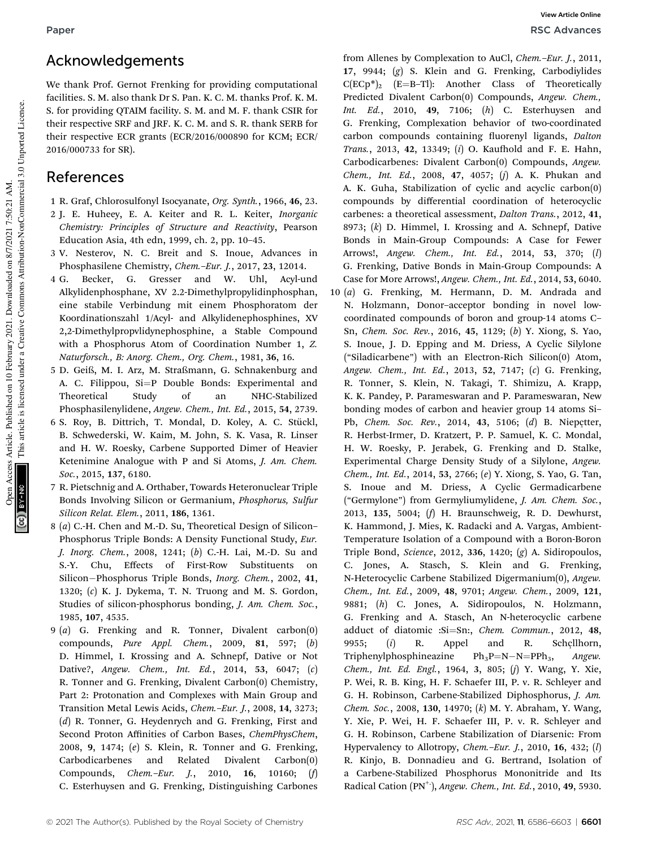## Acknowledgements

We thank Prof. Gernot Frenking for providing computational facilities. S. M. also thank Dr S. Pan. K. C. M. thanks Prof. K. M. S. for providing QTAIM facility. S. M. and M. F. thank CSIR for their respective SRF and JRF. K. C. M. and S. R. thank SERB for their respective ECR grants (ECR/2016/000890 for KCM; ECR/ 2016/000733 for SR).

### References

- 1 R. Graf, Chlorosulfonyl Isocyanate, *Org. Synth.*, 1966, 46, 23.
- 2 J. E. Huheey, E. A. Keiter and R. L. Keiter, *Inorganic Chemistry: Principles of Structure and Reactivity*, Pearson Education Asia, 4th edn, 1999, ch. 2, pp. 10–45.
- 3 V. Nesterov, N. C. Breit and S. Inoue, Advances in Phosphasilene Chemistry, *Chem.*–*Eur. J.*, 2017, 23, 12014.
- 4 G. Becker, G. Gresser and W. Uhl, Acyl-und Alkylidenphosphane, XV 2.2-Dimethylpropylidinphosphan, eine stabile Verbindung mit einem Phosphoratom der Koordinationszahl 1/Acyl- and Alkylidenephosphines, XV 2,2-Dimethylpropvlidynephosphine, a Stable Compound with a Phosphorus Atom of Coordination Number 1, *Z. Naturforsch., B: Anorg. Chem., Org. Chem.*, 1981, 36, 16.
- 5 D. Geiß, M. I. Arz, M. Straßmann, G. Schnakenburg and A. C. Filippou,  $Si=P$  Double Bonds: Experimental and Theoretical Study of an NHC-Stabilized Phosphasilenylidene, *Angew. Chem., Int. Ed.*, 2015, 54, 2739.
- 6 S. Roy, B. Dittrich, T. Mondal, D. Koley, A. C. Stückl, B. Schwederski, W. Kaim, M. John, S. K. Vasa, R. Linser and H. W. Roesky, Carbene Supported Dimer of Heavier Ketenimine Analogue with P and Si Atoms, *J. Am. Chem. Soc.*, 2015, 137, 6180.
- 7 R. Pietschnig and A. Orthaber, Towards Heteronuclear Triple Bonds Involving Silicon or Germanium, *Phosphorus, Sulfur Silicon Relat. Elem.*, 2011, 186, 1361.
- 8 (*a*) C.-H. Chen and M.-D. Su, Theoretical Design of Silicon– Phosphorus Triple Bonds: A Density Functional Study, *Eur. J. Inorg. Chem.*, 2008, 1241; (*b*) C.-H. Lai, M.-D. Su and S.-Y. Chu, Effects of First-Row Substituents on Silicon-Phosphorus Triple Bonds, *Inorg. Chem.*, 2002, 41, 1320; (*c*) K. J. Dykema, T. N. Truong and M. S. Gordon, Studies of silicon-phosphorus bonding, *J. Am. Chem. Soc.*, 1985, 107, 4535.
- 9 (*a*) G. Frenking and R. Tonner, Divalent carbon(0) compounds, *Pure Appl. Chem.*, 2009, 81, 597; (*b*) D. Himmel, I. Krossing and A. Schnepf, Dative or Not Dative?, *Angew. Chem., Int. Ed.*, 2014, 53, 6047; (*c*) R. Tonner and G. Frenking, Divalent Carbon(0) Chemistry, Part 2: Protonation and Complexes with Main Group and Transition Metal Lewis Acids, *Chem.*–*Eur. J.*, 2008, 14, 3273; (*d*) R. Tonner, G. Heydenrych and G. Frenking, First and Second Proton Affinities of Carbon Bases, *ChemPhysChem*, 2008, 9, 1474; (*e*) S. Klein, R. Tonner and G. Frenking, Carbodicarbenes and Related Divalent Carbon(0) Compounds, *Chem.*–*Eur. J.*, 2010, 16, 10160; (*f*) C. Esterhuysen and G. Frenking, Distinguishing Carbones

from Allenes by Complexation to AuCl, *Chem.*–*Eur. J.*, 2011, 17, 9944; (*g*) S. Klein and G. Frenking, Carbodiylides  $C(ECp^*)$ <sub>2</sub> (E=B-Tl): Another Class of Theoretically Predicted Divalent Carbon(0) Compounds, *Angew. Chem., Int. Ed.*, 2010, 49, 7106; (*h*) C. Esterhuysen and G. Frenking, Complexation behavior of two-coordinated carbon compounds containing fluorenyl ligands, *Dalton Trans.*, 2013, 42, 13349; (*i*) O. Kaufhold and F. E. Hahn, Carbodicarbenes: Divalent Carbon(0) Compounds, *Angew. Chem., Int. Ed.*, 2008, 47, 4057; (*j*) A. K. Phukan and A. K. Guha, Stabilization of cyclic and acyclic carbon(0) compounds by differential coordination of heterocyclic carbenes: a theoretical assessment, *Dalton Trans.*, 2012, 41, 8973; (*k*) D. Himmel, I. Krossing and A. Schnepf, Dative Bonds in Main-Group Compounds: A Case for Fewer Arrows!, *Angew. Chem., Int. Ed.*, 2014, 53, 370; (*l*) G. Frenking, Dative Bonds in Main-Group Compounds: A Case for More Arrows!, *Angew. Chem., Int. Ed.*, 2014, 53, 6040.

10 (*a*) G. Frenking, M. Hermann, D. M. Andrada and N. Holzmann, Donor–acceptor bonding in novel lowcoordinated compounds of boron and group-14 atoms C– Sn, *Chem. Soc. Rev.*, 2016, 45, 1129; (*b*) Y. Xiong, S. Yao, S. Inoue, J. D. Epping and M. Driess, A Cyclic Silylone ("Siladicarbene") with an Electron-Rich Silicon(0) Atom, *Angew. Chem., Int. Ed.*, 2013, 52, 7147; (*c*) G. Frenking, R. Tonner, S. Klein, N. Takagi, T. Shimizu, A. Krapp, K. K. Pandey, P. Parameswaran and P. Parameswaran, New bonding modes of carbon and heavier group 14 atoms Si– Pb, *Chem. Soc. Rev.*, 2014, 43, 5106; (*d*) B. Niepçtter, R. Herbst-Irmer, D. Kratzert, P. P. Samuel, K. C. Mondal, H. W. Roesky, P. Jerabek, G. Frenking and D. Stalke, Experimental Charge Density Study of a Silylone, *Angew. Chem., Int. Ed.*, 2014, 53, 2766; (*e*) Y. Xiong, S. Yao, G. Tan, S. Inoue and M. Driess, A Cyclic Germadicarbene ("Germylone") from Germyliumylidene, *J. Am. Chem. Soc.*, 2013, 135, 5004; (*f*) H. Braunschweig, R. D. Dewhurst, K. Hammond, J. Mies, K. Radacki and A. Vargas, Ambient-Temperature Isolation of a Compound with a Boron-Boron Triple Bond, *Science*, 2012, 336, 1420; (*g*) A. Sidiropoulos, C. Jones, A. Stasch, S. Klein and G. Frenking, N-Heterocyclic Carbene Stabilized Digermanium(0), *Angew. Chem., Int. Ed.*, 2009, 48, 9701; *Angew. Chem.*, 2009, 121, 9881; (*h*) C. Jones, A. Sidiropoulos, N. Holzmann, G. Frenking and A. Stasch, An N-heterocyclic carbene adduct of diatomic :Si=Sn:, *Chem. Commun.*, 2012, 48, 9955; (*i*) R. Appel and R. Schçllhorn, Triphenylphosphineazine  $Ph_3P=N-N=PPh_3$ , *Angew. Chem., Int. Ed. Engl.*, 1964, 3, 805; (*j*) Y. Wang, Y. Xie, P. Wei, R. B. King, H. F. Schaefer III, P. v. R. Schleyer and G. H. Robinson, Carbene-Stabilized Diphosphorus, *J. Am. Chem. Soc.*, 2008, 130, 14970; (*k*) M. Y. Abraham, Y. Wang, Y. Xie, P. Wei, H. F. Schaefer III, P. v. R. Schleyer and G. H. Robinson, Carbene Stabilization of Diarsenic: From Hypervalency to Allotropy, *Chem.*–*Eur. J.*, 2010, 16, 432; (*l*) R. Kinjo, B. Donnadieu and G. Bertrand, Isolation of a Carbene-Stabilized Phosphorus Mononitride and Its Radical Cation (PN+.), *Angew. Chem., Int. Ed.*, 2010, 49, 5930.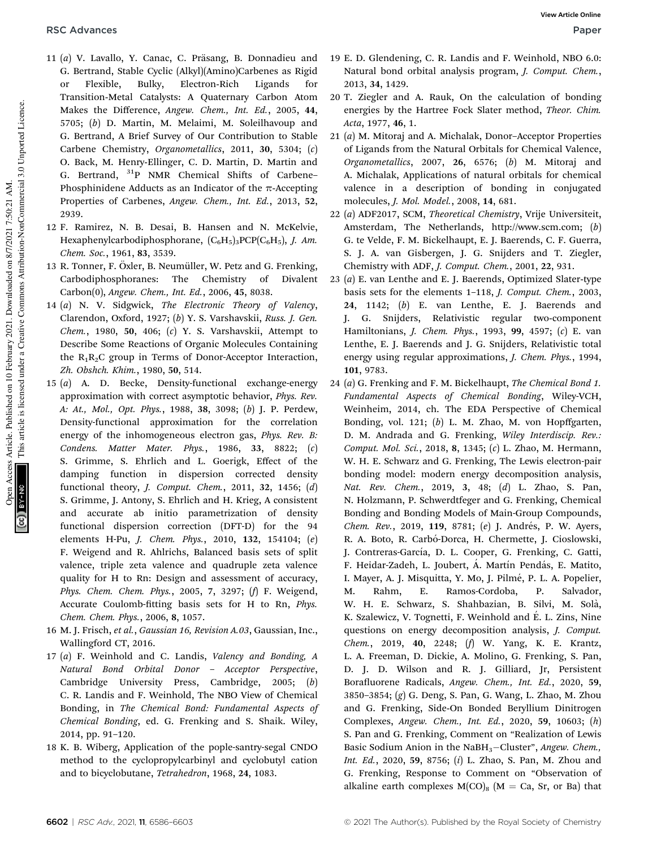- 11 (a) V. Lavallo, Y. Canac, C. Präsang, B. Donnadieu and G. Bertrand, Stable Cyclic (Alkyl)(Amino)Carbenes as Rigid or Flexible, Bulky, Electron-Rich Ligands for Transition-Metal Catalysts: A Quaternary Carbon Atom Makes the Difference, *Angew. Chem., Int. Ed.*, 2005, 44, 5705; (*b*) D. Martin, M. Melaimi, M. Soleilhavoup and G. Bertrand, A Brief Survey of Our Contribution to Stable Carbene Chemistry, *Organometallics*, 2011, 30, 5304; (*c*) O. Back, M. Henry-Ellinger, C. D. Martin, D. Martin and G. Bertrand, <sup>31</sup>P NMR Chemical Shifts of Carbene– Phosphinidene Adducts as an Indicator of the  $\pi$ -Accepting Properties of Carbenes, *Angew. Chem., Int. Ed.*, 2013, 52, 2939.
- 12 F. Ramirez, N. B. Desai, B. Hansen and N. McKelvie, Hexaphenylcarbodiphosphorane,  $(C_6H_5)_3PCP(C_6H_5)$ , *J. Am. Chem. Soc.*, 1961, 83, 3539.
- 13 R. Tonner, F. Öxler, B. Neumüller, W. Petz and G. Frenking, Carbodiphosphoranes: The Chemistry of Divalent Carbon(0), *Angew. Chem., Int. Ed.*, 2006, 45, 8038.
- 14 (*a*) N. V. Sidgwick, *The Electronic Theory of Valency*, Clarendon, Oxford, 1927; (*b*) Y. S. Varshavskii, *Russ. J. Gen. Chem.*, 1980, 50, 406; (*c*) Y. S. Varshavskii, Attempt to Describe Some Reactions of Organic Molecules Containing the  $R_1R_2C$  group in Terms of Donor-Acceptor Interaction, *Zh. Obshch. Khim.*, 1980, 50, 514.
- 15 (*a*) A. D. Becke, Density-functional exchange-energy approximation with correct asymptotic behavior, *Phys. Rev. A: At., Mol., Opt. Phys.*, 1988, 38, 3098; (*b*) J. P. Perdew, Density-functional approximation for the correlation energy of the inhomogeneous electron gas, *Phys. Rev. B: Condens. Matter Mater. Phys.*, 1986, 33, 8822; (*c*) S. Grimme, S. Ehrlich and L. Goerigk, Effect of the damping function in dispersion corrected density functional theory, *J. Comput. Chem.*, 2011, 32, 1456; (*d*) S. Grimme, J. Antony, S. Ehrlich and H. Krieg, A consistent and accurate ab initio parametrization of density functional dispersion correction (DFT-D) for the 94 elements H-Pu, *J. Chem. Phys.*, 2010, 132, 154104; (*e*) F. Weigend and R. Ahlrichs, Balanced basis sets of split valence, triple zeta valence and quadruple zeta valence quality for H to Rn: Design and assessment of accuracy, *Phys. Chem. Chem. Phys.*, 2005, 7, 3297; (*f*) F. Weigend, Accurate Coulomb-fitting basis sets for H to Rn, *Phys. Chem. Chem. Phys.*, 2006, 8, 1057.
- 16 M. J. Frisch, *et al.*, *Gaussian 16, Revision A.03*, Gaussian, Inc., Wallingford CT, 2016.
- 17 (*a*) F. Weinhold and C. Landis, *Valency and Bonding, A Natural Bond Orbital Donor* – *Acceptor Perspective*, Cambridge University Press, Cambridge, 2005; (*b*) C. R. Landis and F. Weinhold, The NBO View of Chemical Bonding, in *The Chemical Bond: Fundamental Aspects of Chemical Bonding*, ed. G. Frenking and S. Shaik. Wiley, 2014, pp. 91–120.
- 18 K. B. Wiberg, Application of the pople-santry-segal CNDO method to the cyclopropylcarbinyl and cyclobutyl cation and to bicyclobutane, *Tetrahedron*, 1968, 24, 1083.
- 19 E. D. Glendening, C. R. Landis and F. Weinhold, NBO 6.0: Natural bond orbital analysis program, *J. Comput. Chem.*, 2013, 34, 1429.
- 20 T. Ziegler and A. Rauk, On the calculation of bonding energies by the Hartree Fock Slater method, *Theor. Chim. Acta*, 1977, 46, 1.
- 21 (*a*) M. Mitoraj and A. Michalak, Donor–Acceptor Properties of Ligands from the Natural Orbitals for Chemical Valence, *Organometallics*, 2007, 26, 6576; (*b*) M. Mitoraj and A. Michalak, Applications of natural orbitals for chemical valence in a description of bonding in conjugated molecules, *J. Mol. Model.*, 2008, 14, 681.
- 22 (*a*) ADF2017, SCM, *Theoretical Chemistry*, Vrije Universiteit, Amsterdam, The Netherlands, http://www.scm.com; (*b*) G. te Velde, F. M. Bickelhaupt, E. J. Baerends, C. F. Guerra, S. J. A. van Gisbergen, J. G. Snijders and T. Ziegler, Chemistry with ADF, *J. Comput. Chem.*, 2001, 22, 931.
- 23 (*a*) E. van Lenthe and E. J. Baerends, Optimized Slater-type basis sets for the elements 1–118, *J. Comput. Chem.*, 2003, 24, 1142; (*b*) E. van Lenthe, E. J. Baerends and J. G. Snijders, Relativistic regular two-component Hamiltonians, *J. Chem. Phys.*, 1993, 99, 4597; (*c*) E. van Lenthe, E. J. Baerends and J. G. Snijders, Relativistic total energy using regular approximations, *J. Chem. Phys.*, 1994, 101, 9783.
- 24 (*a*) G. Frenking and F. M. Bickelhaupt, *The Chemical Bond 1. Fundamental Aspects of Chemical Bonding*, Wiley-VCH, Weinheim, 2014, ch. The EDA Perspective of Chemical Bonding, vol. 121; (*b*) L. M. Zhao, M. von Hopffgarten, D. M. Andrada and G. Frenking, *Wiley Interdiscip. Rev.: Comput. Mol. Sci.*, 2018, 8, 1345; (*c*) L. Zhao, M. Hermann, W. H. E. Schwarz and G. Frenking, The Lewis electron-pair bonding model: modern energy decomposition analysis, *Nat. Rev. Chem.*, 2019, 3, 48; (*d*) L. Zhao, S. Pan, N. Holzmann, P. Schwerdtfeger and G. Frenking, Chemical Bonding and Bonding Models of Main-Group Compounds, *Chem. Rev.*, 2019, 119, 8781; (e) J. Andrés, P. W. Ayers, R. A. Boto, R. Carbó-Dorca, H. Chermette, J. Cioslowski, J. Contreras-García, D. L. Cooper, G. Frenking, C. Gatti, F. Heidar-Zadeh, L. Joubert, A. Martín Pendás, E. Matito, I. Mayer, A. J. Misquitta, Y. Mo, J. Pilmé, P. L. A. Popelier, M. Rahm, E. Ramos-Cordoba, P. Salvador, W. H. E. Schwarz, S. Shahbazian, B. Silvi, M. Solà, K. Szalewicz, V. Tognetti, F. Weinhold and E. L. Zins, Nine ´ questions on energy decomposition analysis, *J. Comput. Chem.*, 2019, 40, 2248; (*f*) W. Yang, K. E. Krantz, L. A. Freeman, D. Dickie, A. Molino, G. Frenking, S. Pan, D. J. D. Wilson and R. J. Gilliard, Jr, Persistent Borafluorene Radicals, Angew. Chem., Int. Ed., 2020, 59, 3850–3854; (*g*) G. Deng, S. Pan, G. Wang, L. Zhao, M. Zhou and G. Frenking, Side-On Bonded Beryllium Dinitrogen Complexes, *Angew. Chem., Int. Ed.*, 2020, 59, 10603; (*h*) S. Pan and G. Frenking, Comment on "Realization of Lewis Basic Sodium Anion in the NaBH3-Cluster", *Angew. Chem., Int. Ed.*, 2020, 59, 8756; (*i*) L. Zhao, S. Pan, M. Zhou and G. Frenking, Response to Comment on "Observation of alkaline earth complexes  $M(CO)_{8}$  (M = Ca, Sr, or Ba) that